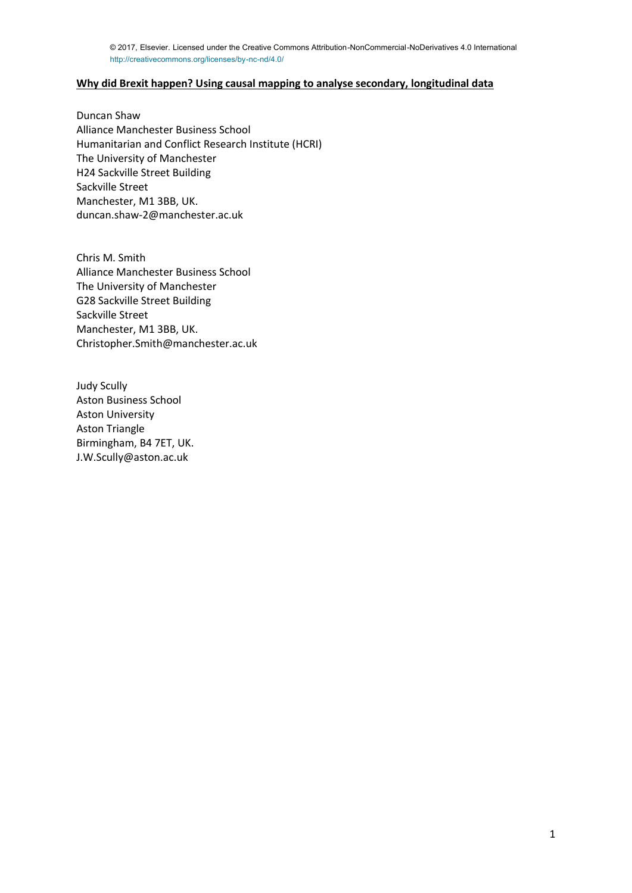# **Why did Brexit happen? Using causal mapping to analyse secondary, longitudinal data**

Duncan Shaw Alliance Manchester Business School Humanitarian and Conflict Research Institute (HCRI) The University of Manchester H24 Sackville Street Building Sackville Street Manchester, M1 3BB, UK. duncan.shaw-2@manchester.ac.uk

Chris M. Smith Alliance Manchester Business School The University of Manchester G28 Sackville Street Building Sackville Street Manchester, M1 3BB, UK. Christopher.Smith@manchester.ac.uk

Judy Scully Aston Business School Aston University Aston Triangle Birmingham, B4 7ET, UK. J.W.Scully@aston.ac.uk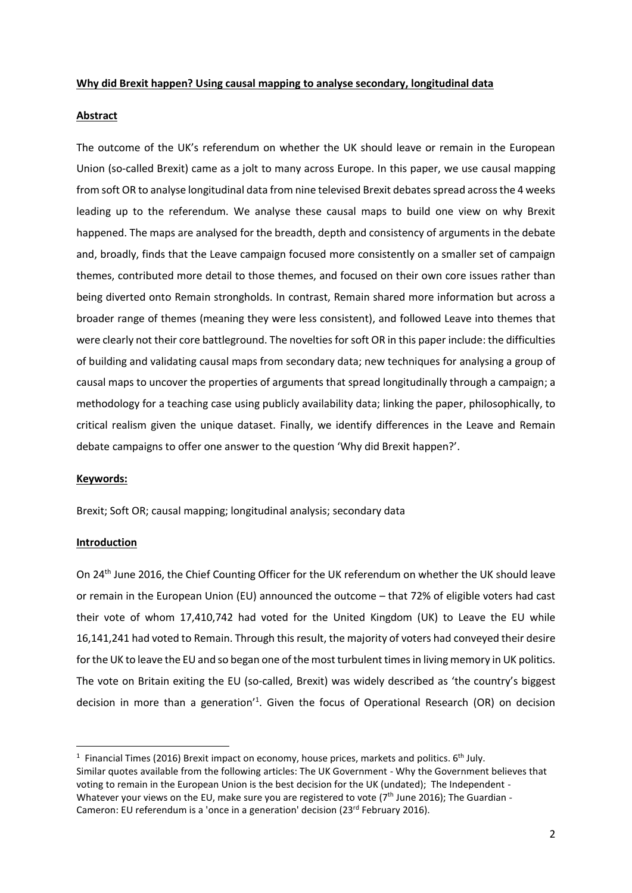## **Why did Brexit happen? Using causal mapping to analyse secondary, longitudinal data**

# **Abstract**

The outcome of the UK's referendum on whether the UK should leave or remain in the European Union (so-called Brexit) came as a jolt to many across Europe. In this paper, we use causal mapping from soft OR to analyse longitudinal data from nine televised Brexit debates spread across the 4 weeks leading up to the referendum. We analyse these causal maps to build one view on why Brexit happened. The maps are analysed for the breadth, depth and consistency of arguments in the debate and, broadly, finds that the Leave campaign focused more consistently on a smaller set of campaign themes, contributed more detail to those themes, and focused on their own core issues rather than being diverted onto Remain strongholds. In contrast, Remain shared more information but across a broader range of themes (meaning they were less consistent), and followed Leave into themes that were clearly not their core battleground. The novelties for soft OR in this paper include: the difficulties of building and validating causal maps from secondary data; new techniques for analysing a group of causal maps to uncover the properties of arguments that spread longitudinally through a campaign; a methodology for a teaching case using publicly availability data; linking the paper, philosophically, to critical realism given the unique dataset. Finally, we identify differences in the Leave and Remain debate campaigns to offer one answer to the question 'Why did Brexit happen?'.

## **Keywords:**

Brexit; Soft OR; causal mapping; longitudinal analysis; secondary data

## **Introduction**

 $\overline{a}$ 

On 24th June 2016, the Chief Counting Officer for the UK referendum on whether the UK should leave or remain in the European Union (EU) announced the outcome – that 72% of eligible voters had cast their vote of whom 17,410,742 had voted for the United Kingdom (UK) to Leave the EU while 16,141,241 had voted to Remain. Through this result, the majority of voters had conveyed their desire for the UK to leave the EU and so began one of the most turbulent times in living memory in UK politics. The vote on Britain exiting the EU (so-called, Brexit) was widely described as 'the country's biggest decision in more than a generation<sup>'1</sup>. Given the focus of Operational Research (OR) on decision

<sup>&</sup>lt;sup>1</sup> Financial Times (2016) Brexit impact on economy, house prices, markets and politics.  $6^{th}$  July. Similar quotes available from the following articles: The UK Government - Why the Government believes that voting to remain in the European Union is the best decision for the UK (undated); The Independent - Whatever your views on the EU, make sure you are registered to vote (7<sup>th</sup> June 2016); The Guardian -Cameron: EU referendum is a 'once in a generation' decision (23rd February 2016).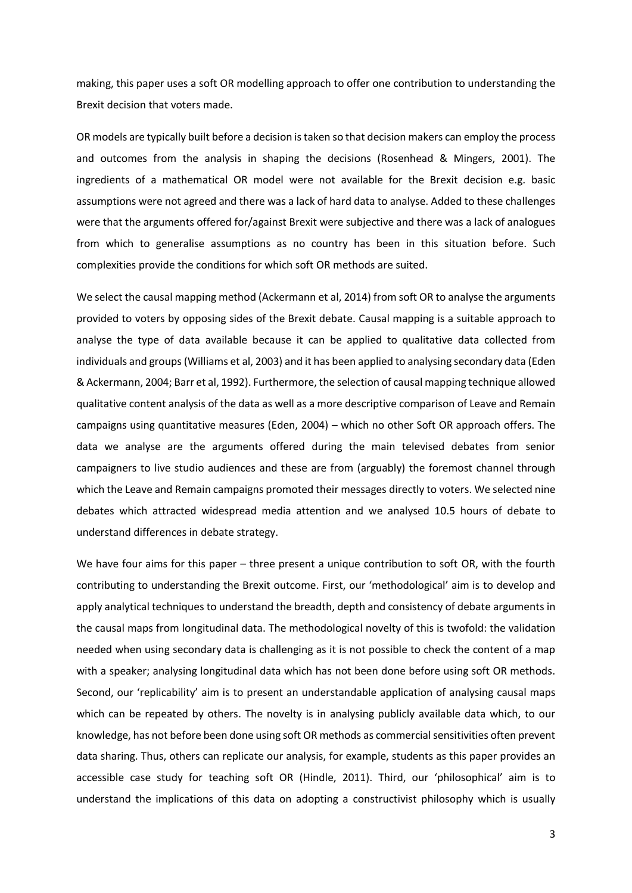making, this paper uses a soft OR modelling approach to offer one contribution to understanding the Brexit decision that voters made.

OR models are typically built before a decision is taken so that decision makers can employ the process and outcomes from the analysis in shaping the decisions (Rosenhead & Mingers, 2001). The ingredients of a mathematical OR model were not available for the Brexit decision e.g. basic assumptions were not agreed and there was a lack of hard data to analyse. Added to these challenges were that the arguments offered for/against Brexit were subjective and there was a lack of analogues from which to generalise assumptions as no country has been in this situation before. Such complexities provide the conditions for which soft OR methods are suited.

We select the causal mapping method (Ackermann et al, 2014) from soft OR to analyse the arguments provided to voters by opposing sides of the Brexit debate. Causal mapping is a suitable approach to analyse the type of data available because it can be applied to qualitative data collected from individuals and groups(Williams et al, 2003) and it has been applied to analysing secondary data (Eden & Ackermann, 2004; Barr et al, 1992). Furthermore, the selection of causal mapping technique allowed qualitative content analysis of the data as well as a more descriptive comparison of Leave and Remain campaigns using quantitative measures (Eden, 2004) – which no other Soft OR approach offers. The data we analyse are the arguments offered during the main televised debates from senior campaigners to live studio audiences and these are from (arguably) the foremost channel through which the Leave and Remain campaigns promoted their messages directly to voters. We selected nine debates which attracted widespread media attention and we analysed 10.5 hours of debate to understand differences in debate strategy.

We have four aims for this paper – three present a unique contribution to soft OR, with the fourth contributing to understanding the Brexit outcome. First, our 'methodological' aim is to develop and apply analytical techniques to understand the breadth, depth and consistency of debate arguments in the causal maps from longitudinal data. The methodological novelty of this is twofold: the validation needed when using secondary data is challenging as it is not possible to check the content of a map with a speaker; analysing longitudinal data which has not been done before using soft OR methods. Second, our 'replicability' aim is to present an understandable application of analysing causal maps which can be repeated by others. The novelty is in analysing publicly available data which, to our knowledge, has not before been done using soft OR methods as commercial sensitivities often prevent data sharing. Thus, others can replicate our analysis, for example, students as this paper provides an accessible case study for teaching soft OR (Hindle, 2011). Third, our 'philosophical' aim is to understand the implications of this data on adopting a constructivist philosophy which is usually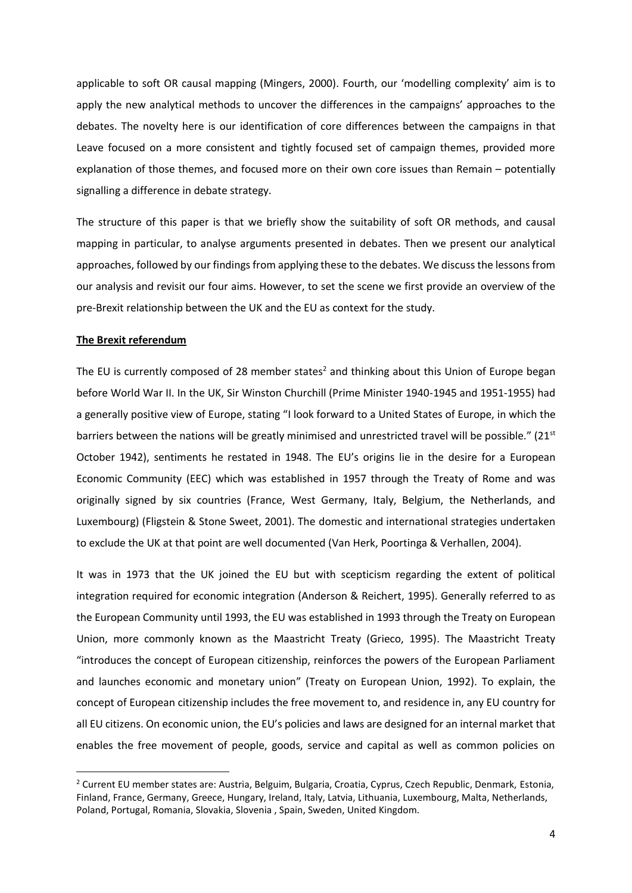applicable to soft OR causal mapping (Mingers, 2000). Fourth, our 'modelling complexity' aim is to apply the new analytical methods to uncover the differences in the campaigns' approaches to the debates. The novelty here is our identification of core differences between the campaigns in that Leave focused on a more consistent and tightly focused set of campaign themes, provided more explanation of those themes, and focused more on their own core issues than Remain – potentially signalling a difference in debate strategy.

The structure of this paper is that we briefly show the suitability of soft OR methods, and causal mapping in particular, to analyse arguments presented in debates. Then we present our analytical approaches, followed by our findings from applying these to the debates. We discuss the lessons from our analysis and revisit our four aims. However, to set the scene we first provide an overview of the pre-Brexit relationship between the UK and the EU as context for the study.

### **The Brexit referendum**

**.** 

The EU is currently composed of 28 member states<sup>2</sup> and thinking about this Union of Europe began before World War II. In the UK, Sir Winston Churchill (Prime Minister 1940-1945 and 1951-1955) had a generally positive view of Europe, stating "I look forward to a United States of Europe, in which the barriers between the nations will be greatly minimised and unrestricted travel will be possible." ( $21<sup>st</sup>$ October 1942), sentiments he restated in 1948. The EU's origins lie in the desire for a European Economic Community (EEC) which was established in 1957 through the Treaty of Rome and was originally signed by six countries (France, West Germany, Italy, Belgium, the Netherlands, and Luxembourg) (Fligstein & Stone Sweet, 2001). The domestic and international strategies undertaken to exclude the UK at that point are well documented (Van Herk, Poortinga & Verhallen, 2004).

It was in 1973 that the UK joined the EU but with scepticism regarding the extent of political integration required for economic integration (Anderson & Reichert, 1995). Generally referred to as the European Community until 1993, the EU was established in 1993 through the Treaty on European Union, more commonly known as the Maastricht Treaty (Grieco, 1995). The Maastricht Treaty "introduces the concept of European citizenship, reinforces the powers of the European Parliament and launches economic and monetary union" (Treaty on European Union, 1992). To explain, the concept of European citizenship includes the free movement to, and residence in, any EU country for all EU citizens. On economic union, the EU's policies and laws are designed for an internal market that enables the free movement of people, goods, service and capital as well as common policies on

<sup>&</sup>lt;sup>2</sup> Current EU member states are: Austria, Belguim, Bulgaria, Croatia, Cyprus, Czech Republic, Denmark, Estonia, Finland, France, Germany, Greece, Hungary, Ireland, Italy, Latvia, Lithuania, Luxembourg, Malta, Netherlands, Poland, Portugal, Romania, Slovakia, Slovenia , Spain, Sweden, United Kingdom.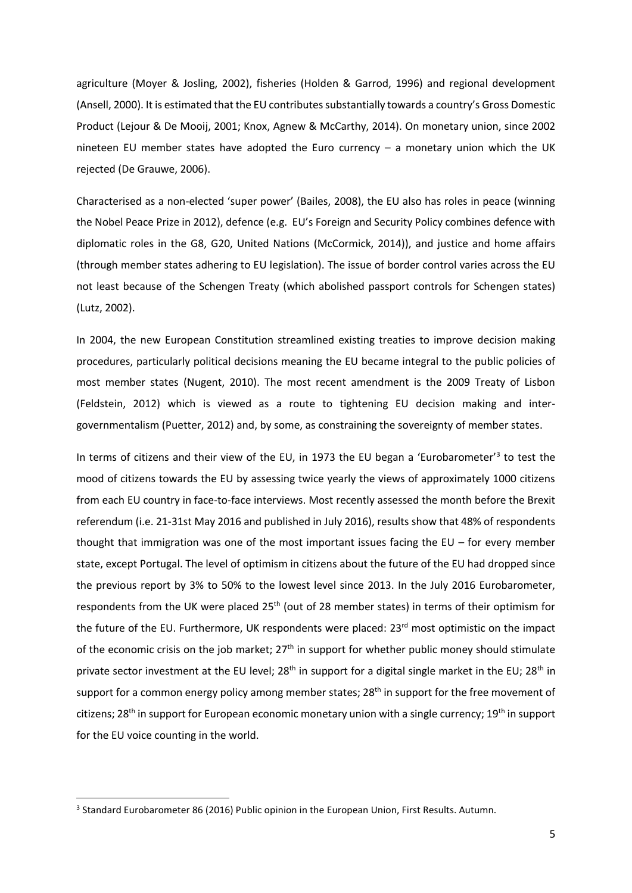agriculture (Moyer & Josling, 2002), fisheries (Holden & Garrod, 1996) and regional development (Ansell, 2000). It is estimated that the EU contributes substantially towards a country's Gross Domestic Product (Lejour & De Mooij, 2001; Knox, Agnew & McCarthy, 2014). On monetary union, since 2002 nineteen EU member states have adopted the Euro currency – a monetary union which the UK rejected (De Grauwe, 2006).

Characterised as a non-elected 'super power' (Bailes, 2008), the EU also has roles in peace (winning the Nobel Peace Prize in 2012), defence (e.g. EU's Foreign and Security Policy combines defence with diplomatic roles in the G8, G20, United Nations (McCormick, 2014)), and justice and home affairs (through member states adhering to EU legislation). The issue of border control varies across the EU not least because of the Schengen Treaty (which abolished passport controls for Schengen states) (Lutz, 2002).

In 2004, the new European Constitution streamlined existing treaties to improve decision making procedures, particularly political decisions meaning the EU became integral to the public policies of most member states (Nugent, 2010). The most recent amendment is the 2009 Treaty of Lisbon (Feldstein, 2012) which is viewed as a route to tightening EU decision making and intergovernmentalism (Puetter, 2012) and, by some, as constraining the sovereignty of member states.

In terms of citizens and their view of the EU, in 1973 the EU began a 'Eurobarometer'<sup>3</sup> to test the mood of citizens towards the EU by assessing twice yearly the views of approximately 1000 citizens from each EU country in face-to-face interviews. Most recently assessed the month before the Brexit referendum (i.e. 21-31st May 2016 and published in July 2016), results show that 48% of respondents thought that immigration was one of the most important issues facing the EU – for every member state, except Portugal. The level of optimism in citizens about the future of the EU had dropped since the previous report by 3% to 50% to the lowest level since 2013. In the July 2016 Eurobarometer, respondents from the UK were placed 25<sup>th</sup> (out of 28 member states) in terms of their optimism for the future of the EU. Furthermore, UK respondents were placed: 23<sup>rd</sup> most optimistic on the impact of the economic crisis on the job market; 27<sup>th</sup> in support for whether public money should stimulate private sector investment at the EU level; 28<sup>th</sup> in support for a digital single market in the EU; 28<sup>th</sup> in support for a common energy policy among member states; 28<sup>th</sup> in support for the free movement of citizens; 28<sup>th</sup> in support for European economic monetary union with a single currency; 19<sup>th</sup> in support for the EU voice counting in the world.

**.** 

<sup>&</sup>lt;sup>3</sup> Standard Eurobarometer 86 (2016) Public opinion in the European Union, First Results. Autumn.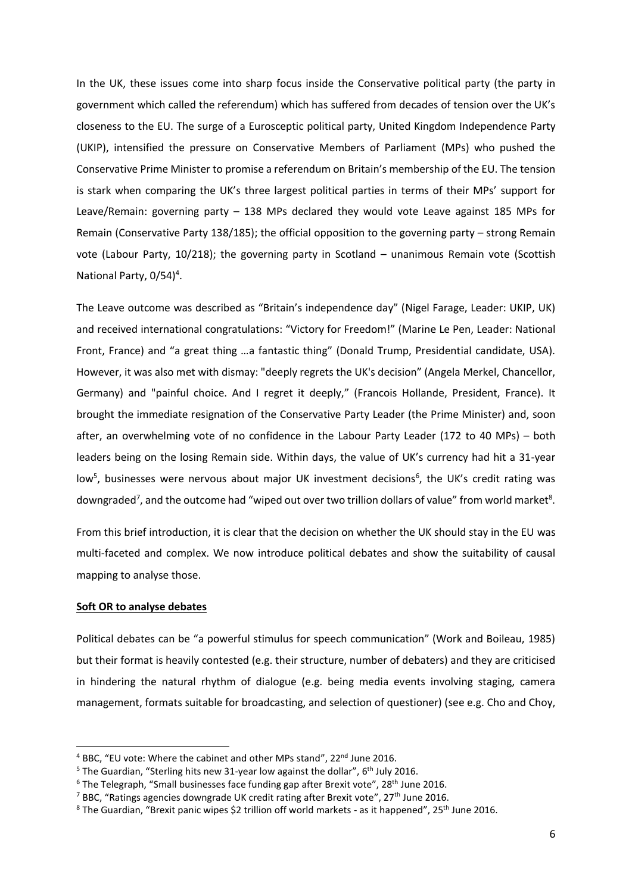In the UK, these issues come into sharp focus inside the Conservative political party (the party in government which called the referendum) which has suffered from decades of tension over the UK's closeness to the EU. The surge of a Eurosceptic political party, United Kingdom Independence Party (UKIP), intensified the pressure on Conservative Members of Parliament (MPs) who pushed the Conservative Prime Minister to promise a referendum on Britain's membership of the EU. The tension is stark when comparing the UK's three largest political parties in terms of their MPs' support for Leave/Remain: governing party – 138 MPs declared they would vote Leave against 185 MPs for Remain (Conservative Party 138/185); the official opposition to the governing party – strong Remain vote (Labour Party, 10/218); the governing party in Scotland – unanimous Remain vote (Scottish National Party, 0/54)<sup>4</sup>.

The Leave outcome was described as "Britain's independence day" (Nigel Farage, Leader: UKIP, UK) and received international congratulations: "Victory for Freedom!" (Marine Le Pen, Leader: National Front, France) and "a great thing …a fantastic thing" (Donald Trump, Presidential candidate, USA). However, it was also met with dismay: "deeply regrets the UK's decision" (Angela Merkel, Chancellor, Germany) and "painful choice. And I regret it deeply," (Francois Hollande, President, France). It brought the immediate resignation of the Conservative Party Leader (the Prime Minister) and, soon after, an overwhelming vote of no confidence in the Labour Party Leader (172 to 40 MPs) – both leaders being on the losing Remain side. Within days, the value of UK's currency had hit a 31-year low<sup>5</sup>, businesses were nervous about major UK investment decisions<sup>6</sup>, the UK's credit rating was downgraded<sup>7</sup>, and the outcome had "wiped out over two trillion dollars of value" from world market<sup>8</sup>.

From this brief introduction, it is clear that the decision on whether the UK should stay in the EU was multi-faceted and complex. We now introduce political debates and show the suitability of causal mapping to analyse those.

### **Soft OR to analyse debates**

 $\overline{a}$ 

Political debates can be "a powerful stimulus for speech communication" (Work and Boileau, 1985) but their format is heavily contested (e.g. their structure, number of debaters) and they are criticised in hindering the natural rhythm of dialogue (e.g. being media events involving staging, camera management, formats suitable for broadcasting, and selection of questioner) (see e.g. Cho and Choy,

<sup>&</sup>lt;sup>4</sup> BBC, "EU vote: Where the cabinet and other MPs stand", 22<sup>nd</sup> June 2016.

<sup>&</sup>lt;sup>5</sup> The Guardian, "Sterling hits new 31-year low against the dollar", 6<sup>th</sup> July 2016.

 $6$  The Telegraph, "Small businesses face funding gap after Brexit vote", 28<sup>th</sup> June 2016.

<sup>&</sup>lt;sup>7</sup> BBC, "Ratings agencies downgrade UK credit rating after Brexit vote", 27<sup>th</sup> June 2016.

 $8$  The Guardian, "Brexit panic wipes \$2 trillion off world markets - as it happened", 25<sup>th</sup> June 2016.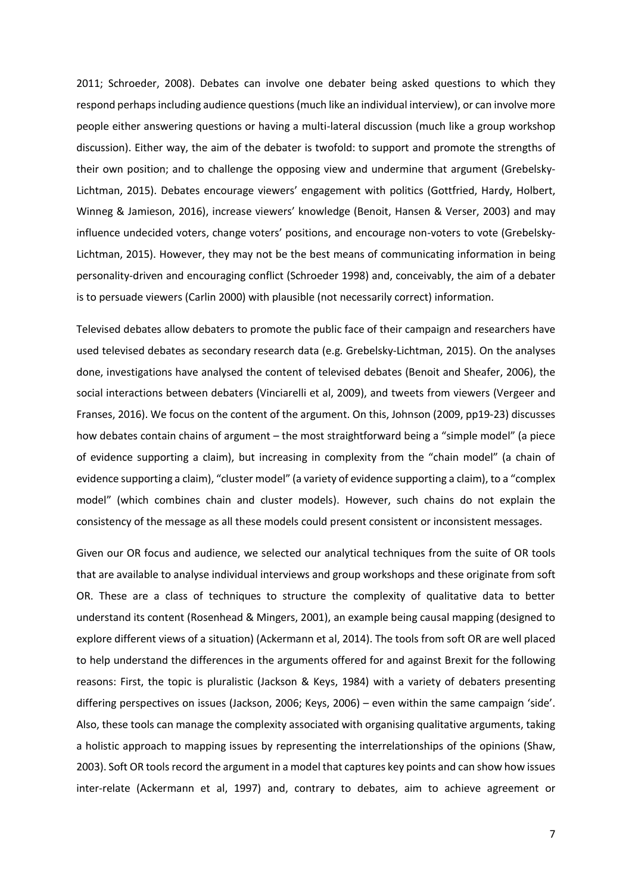2011; Schroeder, 2008). Debates can involve one debater being asked questions to which they respond perhaps including audience questions (much like an individual interview), or can involve more people either answering questions or having a multi-lateral discussion (much like a group workshop discussion). Either way, the aim of the debater is twofold: to support and promote the strengths of their own position; and to challenge the opposing view and undermine that argument (Grebelsky-Lichtman, 2015). Debates encourage viewers' engagement with politics (Gottfried, Hardy, Holbert, Winneg & Jamieson, 2016), increase viewers' knowledge (Benoit, Hansen & Verser, 2003) and may influence undecided voters, change voters' positions, and encourage non-voters to vote (Grebelsky-Lichtman, 2015). However, they may not be the best means of communicating information in being personality-driven and encouraging conflict (Schroeder 1998) and, conceivably, the aim of a debater is to persuade viewers (Carlin 2000) with plausible (not necessarily correct) information.

Televised debates allow debaters to promote the public face of their campaign and researchers have used televised debates as secondary research data (e.g. Grebelsky-Lichtman, 2015). On the analyses done, investigations have analysed the content of televised debates (Benoit and Sheafer, 2006), the social interactions between debaters (Vinciarelli et al, 2009), and tweets from viewers (Vergeer and Franses, 2016). We focus on the content of the argument. On this, Johnson (2009, pp19-23) discusses how debates contain chains of argument – the most straightforward being a "simple model" (a piece of evidence supporting a claim), but increasing in complexity from the "chain model" (a chain of evidence supporting a claim), "cluster model" (a variety of evidence supporting a claim), to a "complex model" (which combines chain and cluster models). However, such chains do not explain the consistency of the message as all these models could present consistent or inconsistent messages.

Given our OR focus and audience, we selected our analytical techniques from the suite of OR tools that are available to analyse individual interviews and group workshops and these originate from soft OR. These are a class of techniques to structure the complexity of qualitative data to better understand its content (Rosenhead & Mingers, 2001), an example being causal mapping (designed to explore different views of a situation) (Ackermann et al, 2014). The tools from soft OR are well placed to help understand the differences in the arguments offered for and against Brexit for the following reasons: First, the topic is pluralistic (Jackson & Keys, 1984) with a variety of debaters presenting differing perspectives on issues (Jackson, 2006; Keys, 2006) – even within the same campaign 'side'. Also, these tools can manage the complexity associated with organising qualitative arguments, taking a holistic approach to mapping issues by representing the interrelationships of the opinions (Shaw, 2003). Soft OR tools record the argument in a model that captures key points and can show how issues inter-relate (Ackermann et al, 1997) and, contrary to debates, aim to achieve agreement or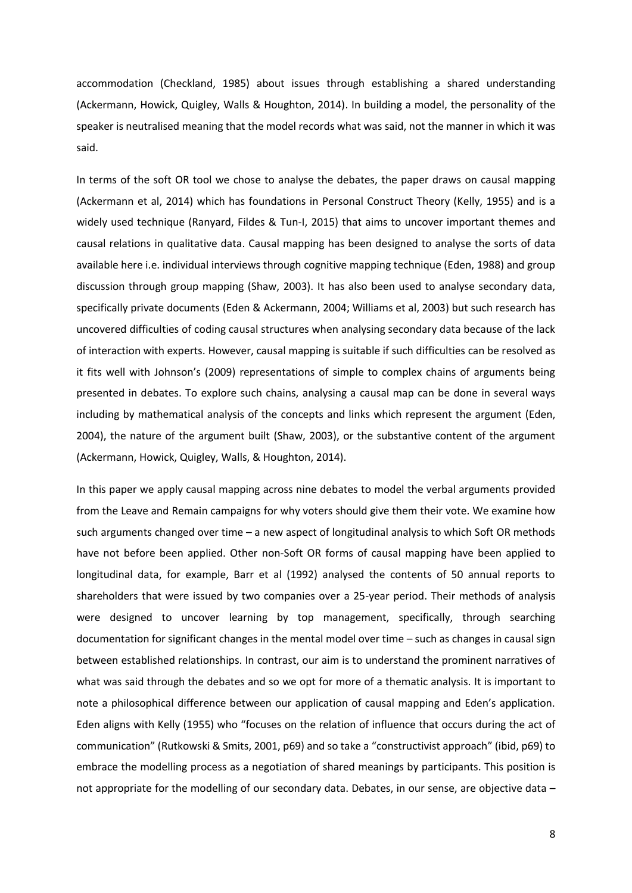accommodation (Checkland, 1985) about issues through establishing a shared understanding (Ackermann, Howick, Quigley, Walls & Houghton, 2014). In building a model, the personality of the speaker is neutralised meaning that the model records what was said, not the manner in which it was said.

In terms of the soft OR tool we chose to analyse the debates, the paper draws on causal mapping (Ackermann et al, 2014) which has foundations in Personal Construct Theory (Kelly, 1955) and is a widely used technique (Ranyard, Fildes & Tun-I, 2015) that aims to uncover important themes and causal relations in qualitative data. Causal mapping has been designed to analyse the sorts of data available here i.e. individual interviews through cognitive mapping technique (Eden, 1988) and group discussion through group mapping (Shaw, 2003). It has also been used to analyse secondary data, specifically private documents (Eden & Ackermann, 2004; Williams et al, 2003) but such research has uncovered difficulties of coding causal structures when analysing secondary data because of the lack of interaction with experts. However, causal mapping is suitable if such difficulties can be resolved as it fits well with Johnson's (2009) representations of simple to complex chains of arguments being presented in debates. To explore such chains, analysing a causal map can be done in several ways including by mathematical analysis of the concepts and links which represent the argument (Eden, 2004), the nature of the argument built (Shaw, 2003), or the substantive content of the argument (Ackermann, Howick, Quigley, Walls, & Houghton, 2014).

In this paper we apply causal mapping across nine debates to model the verbal arguments provided from the Leave and Remain campaigns for why voters should give them their vote. We examine how such arguments changed over time – a new aspect of longitudinal analysis to which Soft OR methods have not before been applied. Other non-Soft OR forms of causal mapping have been applied to longitudinal data, for example, Barr et al (1992) analysed the contents of 50 annual reports to shareholders that were issued by two companies over a 25-year period. Their methods of analysis were designed to uncover learning by top management, specifically, through searching documentation for significant changes in the mental model over time – such as changes in causal sign between established relationships. In contrast, our aim is to understand the prominent narratives of what was said through the debates and so we opt for more of a thematic analysis. It is important to note a philosophical difference between our application of causal mapping and Eden's application. Eden aligns with Kelly (1955) who "focuses on the relation of influence that occurs during the act of communication" (Rutkowski & Smits, 2001, p69) and so take a "constructivist approach" (ibid, p69) to embrace the modelling process as a negotiation of shared meanings by participants. This position is not appropriate for the modelling of our secondary data. Debates, in our sense, are objective data –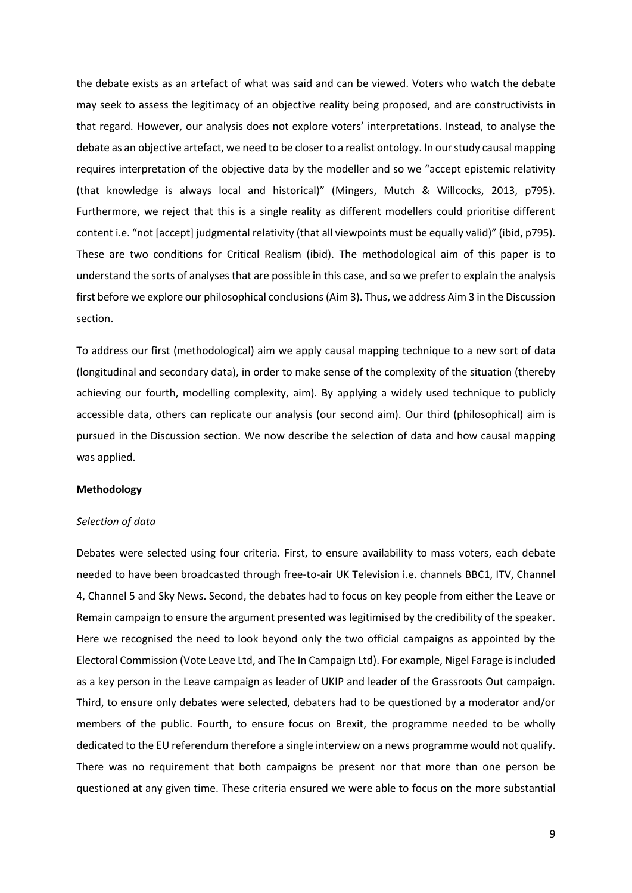the debate exists as an artefact of what was said and can be viewed. Voters who watch the debate may seek to assess the legitimacy of an objective reality being proposed, and are constructivists in that regard. However, our analysis does not explore voters' interpretations. Instead, to analyse the debate as an objective artefact, we need to be closer to a realist ontology. In our study causal mapping requires interpretation of the objective data by the modeller and so we "accept epistemic relativity (that knowledge is always local and historical)" (Mingers, Mutch & Willcocks, 2013, p795). Furthermore, we reject that this is a single reality as different modellers could prioritise different content i.e. "not [accept] judgmental relativity (that all viewpoints must be equally valid)" (ibid, p795). These are two conditions for Critical Realism (ibid). The methodological aim of this paper is to understand the sorts of analyses that are possible in this case, and so we prefer to explain the analysis first before we explore our philosophical conclusions(Aim 3). Thus, we address Aim 3 in the Discussion section.

To address our first (methodological) aim we apply causal mapping technique to a new sort of data (longitudinal and secondary data), in order to make sense of the complexity of the situation (thereby achieving our fourth, modelling complexity, aim). By applying a widely used technique to publicly accessible data, others can replicate our analysis (our second aim). Our third (philosophical) aim is pursued in the Discussion section. We now describe the selection of data and how causal mapping was applied.

## **Methodology**

### *Selection of data*

Debates were selected using four criteria. First, to ensure availability to mass voters, each debate needed to have been broadcasted through free-to-air UK Television i.e. channels BBC1, ITV, Channel 4, Channel 5 and Sky News. Second, the debates had to focus on key people from either the Leave or Remain campaign to ensure the argument presented was legitimised by the credibility of the speaker. Here we recognised the need to look beyond only the two official campaigns as appointed by the Electoral Commission (Vote Leave Ltd, and The In Campaign Ltd). For example, Nigel Farage is included as a key person in the Leave campaign as leader of UKIP and leader of the Grassroots Out campaign. Third, to ensure only debates were selected, debaters had to be questioned by a moderator and/or members of the public. Fourth, to ensure focus on Brexit, the programme needed to be wholly dedicated to the EU referendum therefore a single interview on a news programme would not qualify. There was no requirement that both campaigns be present nor that more than one person be questioned at any given time. These criteria ensured we were able to focus on the more substantial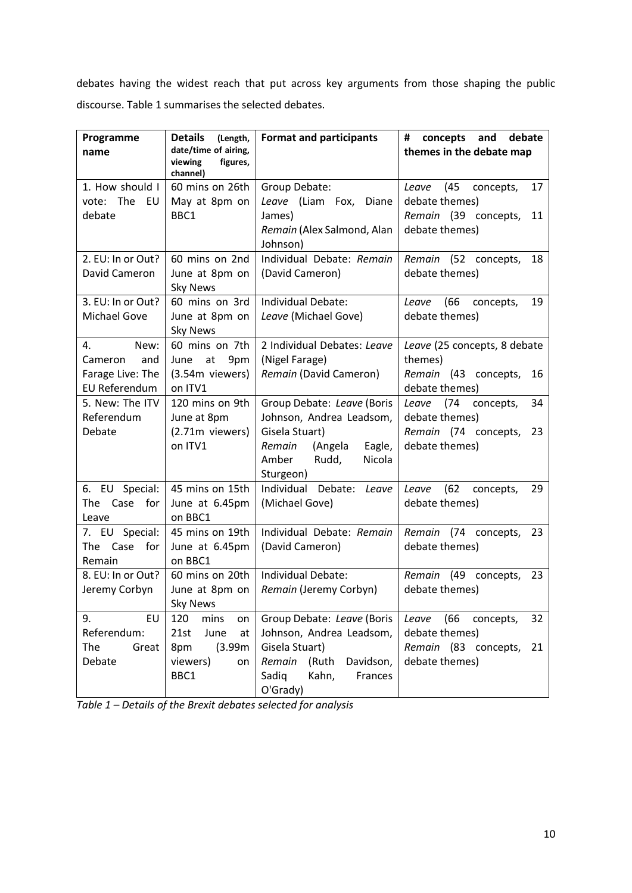debates having the widest reach that put across key arguments from those shaping the public discourse. Table 1 summarises the selected debates.

| Programme<br>name                                                 | <b>Details</b><br>(Length,<br>date/time of airing,<br>viewing<br>figures,<br>channel) | <b>Format and participants</b>                                                                                                                    | debate<br>concepts<br>and<br>#<br>themes in the debate map                                         |
|-------------------------------------------------------------------|---------------------------------------------------------------------------------------|---------------------------------------------------------------------------------------------------------------------------------------------------|----------------------------------------------------------------------------------------------------|
| 1. How should I<br>vote: The<br>EU<br>debate                      | 60 mins on 26th<br>May at 8pm on<br>BBC1                                              | Group Debate:<br>Leave (Liam Fox, Diane<br>James)<br>Remain (Alex Salmond, Alan<br>Johnson)                                                       | Leave (45<br>concepts,<br>17<br>debate themes)<br>Remain (39 concepts,<br>11<br>debate themes)     |
| 2. EU: In or Out?<br>David Cameron                                | 60 mins on 2nd<br>June at 8pm on<br><b>Sky News</b>                                   | Individual Debate: Remain<br>(David Cameron)                                                                                                      | Remain (52 concepts,<br>18<br>debate themes)                                                       |
| 3. EU: In or Out?<br><b>Michael Gove</b>                          | 60 mins on 3rd<br>June at 8pm on<br><b>Sky News</b>                                   | Individual Debate:<br>Leave (Michael Gove)                                                                                                        | Leave (66 concepts,<br>19<br>debate themes)                                                        |
| 4.<br>New:<br>Cameron<br>and<br>Farage Live: The<br>EU Referendum | 60 mins on 7th<br>June<br>at<br>9pm<br>(3.54m viewers)<br>on ITV1                     | 2 Individual Debates: Leave<br>(Nigel Farage)<br>Remain (David Cameron)                                                                           | Leave (25 concepts, 8 debate<br>themes)<br>Remain (43 concepts,<br>16<br>debate themes)            |
| 5. New: The ITV<br>Referendum<br>Debate                           | 120 mins on 9th<br>June at 8pm<br>(2.71m viewers)<br>on ITV1                          | Group Debate: Leave (Boris<br>Johnson, Andrea Leadsom,<br>Gisela Stuart)<br>(Angela<br>Eagle,<br>Remain<br>Amber<br>Rudd,<br>Nicola<br>Sturgeon)  | Leave (74<br>concepts,<br>34<br>debate themes)<br>Remain (74 concepts,<br>23<br>debate themes)     |
| 6. EU Special:<br>The Case<br>for<br>Leave                        | 45 mins on 15th<br>June at 6.45pm<br>on BBC1                                          | Individual Debate: Leave<br>(Michael Gove)                                                                                                        | Leave (62<br>29<br>concepts,<br>debate themes)                                                     |
| 7. EU Special:<br>Case<br>for<br>The<br>Remain                    | 45 mins on 19th<br>June at 6.45pm<br>on BBC1                                          | Individual Debate: Remain<br>(David Cameron)                                                                                                      | Remain (74 concepts,<br>23<br>debate themes)                                                       |
| 8. EU: In or Out?<br>Jeremy Corbyn                                | 60 mins on 20th<br>June at 8pm on<br><b>Sky News</b>                                  | Individual Debate:<br>Remain (Jeremy Corbyn)                                                                                                      | Remain (49 concepts,<br>23<br>debate themes)                                                       |
| 9.<br>EU<br>Referendum:<br>The<br>Great<br>Debate                 | 120<br>mins<br>on<br>June<br>21st<br>at<br>(3.99m)<br>8pm<br>viewers)<br>on<br>BBC1   | Group Debate: Leave (Boris<br>Johnson, Andrea Leadsom,<br>Gisela Stuart)<br>(Ruth<br>Remain<br>Davidson,<br>Sadiq<br>Kahn,<br>Frances<br>O'Grady) | (66)<br>Leave<br>32<br>concepts,<br>debate themes)<br>Remain (83 concepts,<br>21<br>debate themes) |

*Table 1 – Details of the Brexit debates selected for analysis*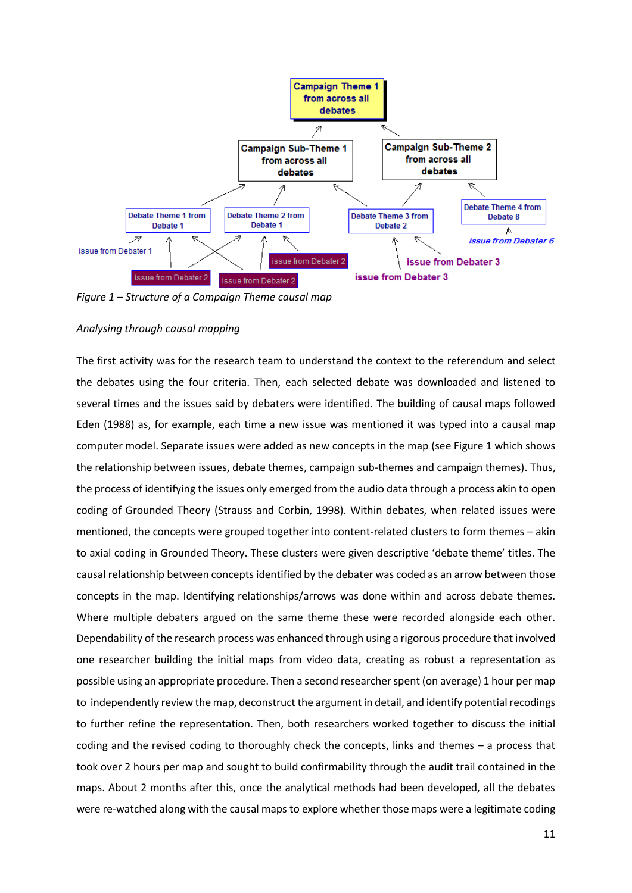

*Figure 1 – Structure of a Campaign Theme causal map* 

# *Analysing through causal mapping*

The first activity was for the research team to understand the context to the referendum and select the debates using the four criteria. Then, each selected debate was downloaded and listened to several times and the issues said by debaters were identified. The building of causal maps followed Eden (1988) as, for example, each time a new issue was mentioned it was typed into a causal map computer model. Separate issues were added as new concepts in the map (see Figure 1 which shows the relationship between issues, debate themes, campaign sub-themes and campaign themes). Thus, the process of identifying the issues only emerged from the audio data through a process akin to open coding of Grounded Theory (Strauss and Corbin, 1998). Within debates, when related issues were mentioned, the concepts were grouped together into content-related clusters to form themes – akin to axial coding in Grounded Theory. These clusters were given descriptive 'debate theme' titles. The causal relationship between concepts identified by the debater was coded as an arrow between those concepts in the map. Identifying relationships/arrows was done within and across debate themes. Where multiple debaters argued on the same theme these were recorded alongside each other. Dependability of the research process was enhanced through using a rigorous procedure that involved one researcher building the initial maps from video data, creating as robust a representation as possible using an appropriate procedure. Then a second researcher spent (on average) 1 hour per map to independently review the map, deconstruct the argument in detail, and identify potential recodings to further refine the representation. Then, both researchers worked together to discuss the initial coding and the revised coding to thoroughly check the concepts, links and themes – a process that took over 2 hours per map and sought to build confirmability through the audit trail contained in the maps. About 2 months after this, once the analytical methods had been developed, all the debates were re-watched along with the causal maps to explore whether those maps were a legitimate coding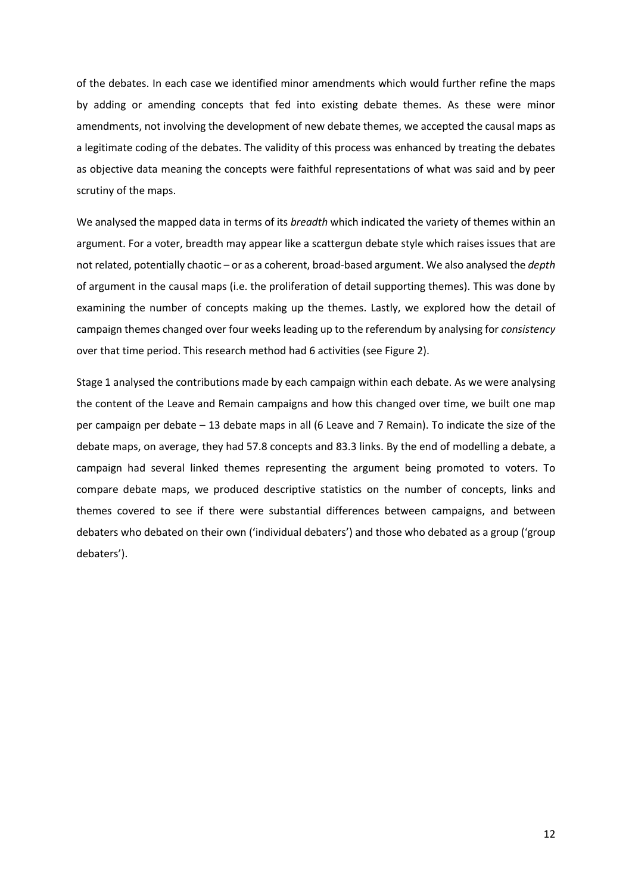of the debates. In each case we identified minor amendments which would further refine the maps by adding or amending concepts that fed into existing debate themes. As these were minor amendments, not involving the development of new debate themes, we accepted the causal maps as a legitimate coding of the debates. The validity of this process was enhanced by treating the debates as objective data meaning the concepts were faithful representations of what was said and by peer scrutiny of the maps.

We analysed the mapped data in terms of its *breadth* which indicated the variety of themes within an argument. For a voter, breadth may appear like a scattergun debate style which raises issues that are not related, potentially chaotic – or as a coherent, broad-based argument. We also analysed the *depth* of argument in the causal maps (i.e. the proliferation of detail supporting themes). This was done by examining the number of concepts making up the themes. Lastly, we explored how the detail of campaign themes changed over four weeks leading up to the referendum by analysing for *consistency* over that time period. This research method had 6 activities (see Figure 2).

Stage 1 analysed the contributions made by each campaign within each debate. As we were analysing the content of the Leave and Remain campaigns and how this changed over time, we built one map per campaign per debate – 13 debate maps in all (6 Leave and 7 Remain). To indicate the size of the debate maps, on average, they had 57.8 concepts and 83.3 links. By the end of modelling a debate, a campaign had several linked themes representing the argument being promoted to voters. To compare debate maps, we produced descriptive statistics on the number of concepts, links and themes covered to see if there were substantial differences between campaigns, and between debaters who debated on their own ('individual debaters') and those who debated as a group ('group debaters').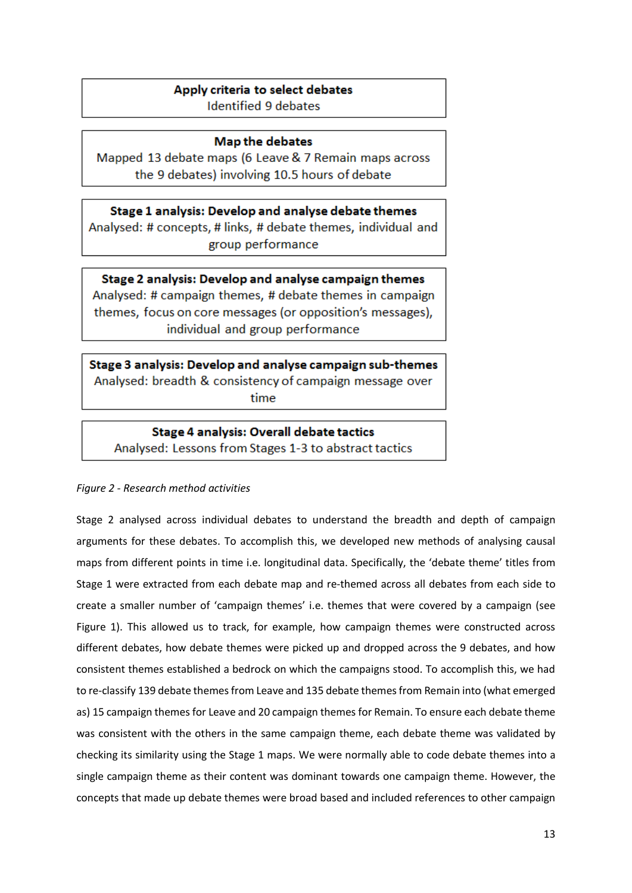# Apply criteria to select debates

**Identified 9 debates** 

# **Map the debates**

Mapped 13 debate maps (6 Leave & 7 Remain maps across the 9 debates) involving 10.5 hours of debate

Stage 1 analysis: Develop and analyse debate themes Analysed: # concepts, # links, # debate themes, individual and group performance

Stage 2 analysis: Develop and analyse campaign themes Analysed: # campaign themes, # debate themes in campaign themes, focus on core messages (or opposition's messages), individual and group performance

Stage 3 analysis: Develop and analyse campaign sub-themes Analysed: breadth & consistency of campaign message over time

**Stage 4 analysis: Overall debate tactics** Analysed: Lessons from Stages 1-3 to abstract tactics

# *Figure 2 - Research method activities*

Stage 2 analysed across individual debates to understand the breadth and depth of campaign arguments for these debates. To accomplish this, we developed new methods of analysing causal maps from different points in time i.e. longitudinal data. Specifically, the 'debate theme' titles from Stage 1 were extracted from each debate map and re-themed across all debates from each side to create a smaller number of 'campaign themes' i.e. themes that were covered by a campaign (see Figure 1). This allowed us to track, for example, how campaign themes were constructed across different debates, how debate themes were picked up and dropped across the 9 debates, and how consistent themes established a bedrock on which the campaigns stood. To accomplish this, we had to re-classify 139 debate themes from Leave and 135 debate themes from Remain into (what emerged as) 15 campaign themes for Leave and 20 campaign themes for Remain. To ensure each debate theme was consistent with the others in the same campaign theme, each debate theme was validated by checking its similarity using the Stage 1 maps. We were normally able to code debate themes into a single campaign theme as their content was dominant towards one campaign theme. However, the concepts that made up debate themes were broad based and included references to other campaign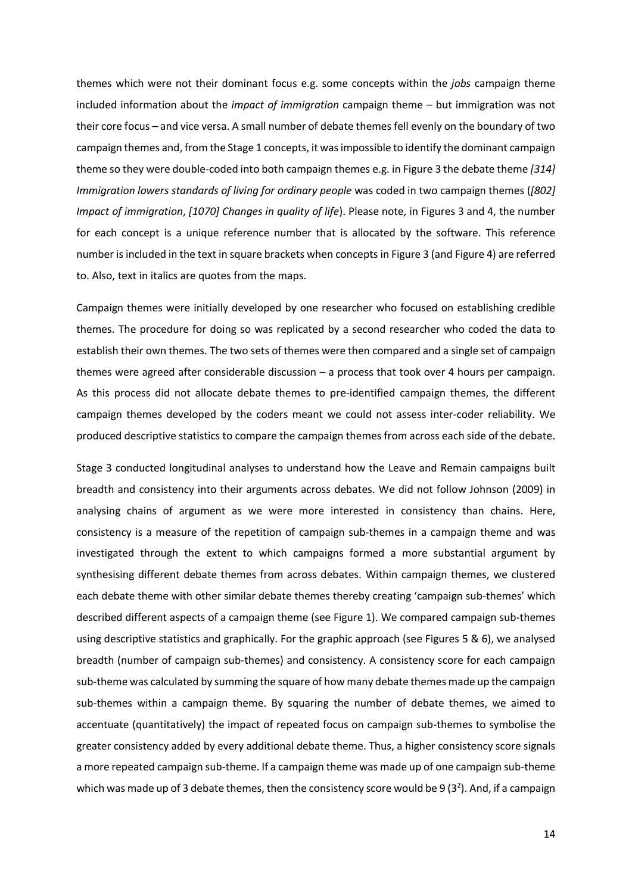themes which were not their dominant focus e.g. some concepts within the *jobs* campaign theme included information about the *impact of immigration* campaign theme – but immigration was not their core focus – and vice versa. A small number of debate themes fell evenly on the boundary of two campaign themes and, from the Stage 1 concepts, it was impossible to identify the dominant campaign theme so they were double-coded into both campaign themes e.g. in Figure 3 the debate theme *[314] Immigration lowers standards of living for ordinary people* was coded in two campaign themes (*[802] Impact of immigration*, *[1070] Changes in quality of life*). Please note, in Figures 3 and 4, the number for each concept is a unique reference number that is allocated by the software. This reference number is included in the text in square brackets when concepts in Figure 3 (and Figure 4) are referred to. Also, text in italics are quotes from the maps.

Campaign themes were initially developed by one researcher who focused on establishing credible themes. The procedure for doing so was replicated by a second researcher who coded the data to establish their own themes. The two sets of themes were then compared and a single set of campaign themes were agreed after considerable discussion – a process that took over 4 hours per campaign. As this process did not allocate debate themes to pre-identified campaign themes, the different campaign themes developed by the coders meant we could not assess inter-coder reliability. We produced descriptive statistics to compare the campaign themes from across each side of the debate.

Stage 3 conducted longitudinal analyses to understand how the Leave and Remain campaigns built breadth and consistency into their arguments across debates. We did not follow Johnson (2009) in analysing chains of argument as we were more interested in consistency than chains. Here, consistency is a measure of the repetition of campaign sub-themes in a campaign theme and was investigated through the extent to which campaigns formed a more substantial argument by synthesising different debate themes from across debates. Within campaign themes, we clustered each debate theme with other similar debate themes thereby creating 'campaign sub-themes' which described different aspects of a campaign theme (see Figure 1). We compared campaign sub-themes using descriptive statistics and graphically. For the graphic approach (see Figures 5 & 6), we analysed breadth (number of campaign sub-themes) and consistency. A consistency score for each campaign sub-theme was calculated by summing the square of how many debate themes made up the campaign sub-themes within a campaign theme. By squaring the number of debate themes, we aimed to accentuate (quantitatively) the impact of repeated focus on campaign sub-themes to symbolise the greater consistency added by every additional debate theme. Thus, a higher consistency score signals a more repeated campaign sub-theme. If a campaign theme was made up of one campaign sub-theme which was made up of 3 debate themes, then the consistency score would be 9 (3<sup>2</sup>). And, if a campaign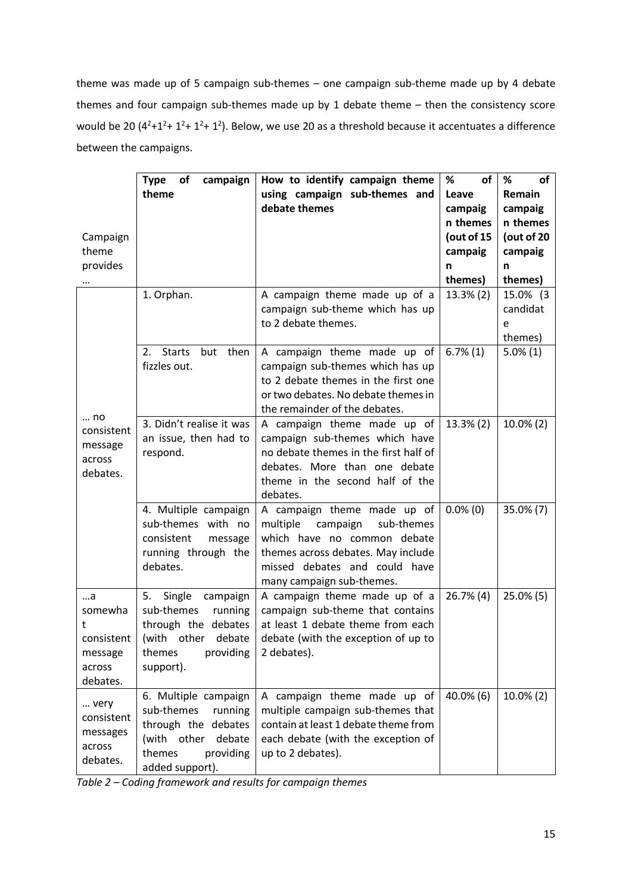theme was made up of 5 campaign sub-themes – one campaign sub-theme made up by 4 debate themes and four campaign sub-themes made up by 1 debate theme – then the consistency score would be 20  $(4^2+1^2+1^2+1^2)$ . Below, we use 20 as a threshold because it accentuates a difference between the campaigns.

|                                                                  | <b>Type</b><br>of<br>campaign<br>theme                                                                                                  | How to identify campaign theme<br>using campaign sub-themes and<br>debate themes                                                                                                                     | <b>of</b><br>%<br>Leave<br>campaig                | %<br>of<br>Remain<br>campaig                      |
|------------------------------------------------------------------|-----------------------------------------------------------------------------------------------------------------------------------------|------------------------------------------------------------------------------------------------------------------------------------------------------------------------------------------------------|---------------------------------------------------|---------------------------------------------------|
| Campaign<br>theme<br>provides                                    |                                                                                                                                         |                                                                                                                                                                                                      | n themes<br>(out of 15<br>campaig<br>n<br>themes) | n themes<br>(out of 20<br>campaig<br>n<br>themes) |
|                                                                  | 1. Orphan.                                                                                                                              | A campaign theme made up of a<br>campaign sub-theme which has up<br>to 2 debate themes.                                                                                                              | $13.3\%$ (2)                                      | 15.0% (3<br>candidat<br>e<br>themes)              |
| no<br>consistent<br>message<br>across<br>debates.                | <b>Starts</b><br>but<br>then<br>2.<br>fizzles out.                                                                                      | A campaign theme made up of<br>campaign sub-themes which has up<br>to 2 debate themes in the first one<br>or two debates. No debate themes in<br>the remainder of the debates.                       | $6.7\%(1)$                                        | $5.0\%(1)$                                        |
|                                                                  | 3. Didn't realise it was<br>an issue, then had to<br>respond.                                                                           | A campaign theme made up of<br>campaign sub-themes which have<br>no debate themes in the first half of<br>debates. More than one debate<br>theme in the second half of the<br>debates.               | 13.3% (2)                                         | $10.0\%$ (2)                                      |
|                                                                  | 4. Multiple campaign<br>sub-themes with no<br>consistent<br>message<br>running through the<br>debates.                                  | A campaign theme made up of<br>campaign<br>multiple<br>sub-themes<br>which have no common debate<br>themes across debates. May include<br>missed debates and could have<br>many campaign sub-themes. | $0.0\%$ (0)                                       | $35.0\%$ (7)                                      |
| a<br>somewha<br>t<br>consistent<br>message<br>across<br>debates. | 5.<br>Single<br>campaign<br>sub-themes<br>running<br>through the debates<br>(with other<br>debate<br>themes<br>providing<br>support).   | A campaign theme made up of a<br>campaign sub-theme that contains<br>at least 1 debate theme from each<br>debate (with the exception of up to<br>2 debates).                                         | $26.7\%$ (4)                                      | $25.0\%$ (5)                                      |
| very<br>consistent<br>messages<br>across<br>debates.             | 6. Multiple campaign<br>sub-themes<br>running<br>through the debates<br>(with other<br>debate<br>themes<br>providing<br>added support). | A campaign theme made up of<br>multiple campaign sub-themes that<br>contain at least 1 debate theme from<br>each debate (with the exception of<br>up to 2 debates).                                  | $40.0\%$ (6)                                      | $10.0\%$ (2)                                      |

*Table 2 – Coding framework and results for campaign themes*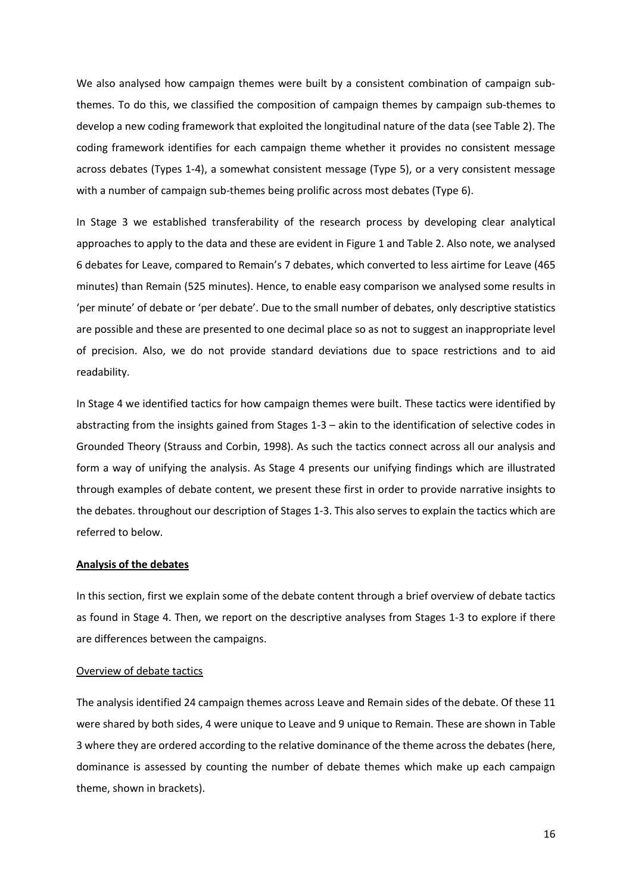We also analysed how campaign themes were built by a consistent combination of campaign subthemes. To do this, we classified the composition of campaign themes by campaign sub-themes to develop a new coding framework that exploited the longitudinal nature of the data (see Table 2). The coding framework identifies for each campaign theme whether it provides no consistent message across debates (Types 1-4), a somewhat consistent message (Type 5), or a very consistent message with a number of campaign sub-themes being prolific across most debates (Type 6).

In Stage 3 we established transferability of the research process by developing clear analytical approaches to apply to the data and these are evident in Figure 1 and Table 2. Also note, we analysed 6 debates for Leave, compared to Remain's 7 debates, which converted to less airtime for Leave (465 minutes) than Remain (525 minutes). Hence, to enable easy comparison we analysed some results in 'per minute' of debate or 'per debate'. Due to the small number of debates, only descriptive statistics are possible and these are presented to one decimal place so as not to suggest an inappropriate level of precision. Also, we do not provide standard deviations due to space restrictions and to aid readability.

In Stage 4 we identified tactics for how campaign themes were built. These tactics were identified by abstracting from the insights gained from Stages 1-3 – akin to the identification of selective codes in Grounded Theory (Strauss and Corbin, 1998). As such the tactics connect across all our analysis and form a way of unifying the analysis. As Stage 4 presents our unifying findings which are illustrated through examples of debate content, we present these first in order to provide narrative insights to the debates. throughout our description of Stages 1-3. This also serves to explain the tactics which are referred to below.

### **Analysis of the debates**

In this section, first we explain some of the debate content through a brief overview of debate tactics as found in Stage 4. Then, we report on the descriptive analyses from Stages 1-3 to explore if there are differences between the campaigns.

### Overview of debate tactics

The analysis identified 24 campaign themes across Leave and Remain sides of the debate. Of these 11 were shared by both sides, 4 were unique to Leave and 9 unique to Remain. These are shown in Table 3 where they are ordered according to the relative dominance of the theme across the debates (here, dominance is assessed by counting the number of debate themes which make up each campaign theme, shown in brackets).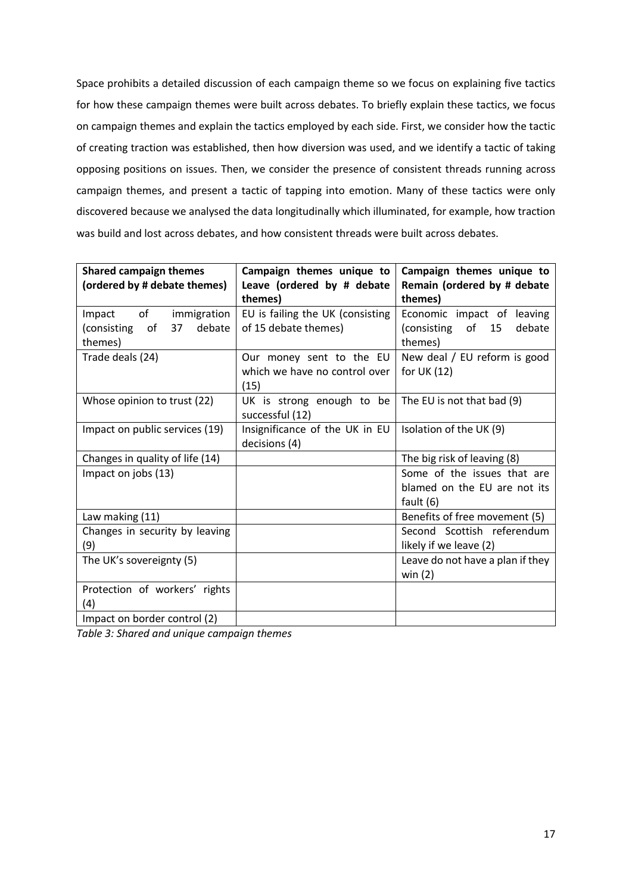Space prohibits a detailed discussion of each campaign theme so we focus on explaining five tactics for how these campaign themes were built across debates. To briefly explain these tactics, we focus on campaign themes and explain the tactics employed by each side. First, we consider how the tactic of creating traction was established, then how diversion was used, and we identify a tactic of taking opposing positions on issues. Then, we consider the presence of consistent threads running across campaign themes, and present a tactic of tapping into emotion. Many of these tactics were only discovered because we analysed the data longitudinally which illuminated, for example, how traction was build and lost across debates, and how consistent threads were built across debates.

| <b>Shared campaign themes</b>                  | Campaign themes unique to        | Campaign themes unique to        |  |
|------------------------------------------------|----------------------------------|----------------------------------|--|
| (ordered by # debate themes)                   | Leave (ordered by # debate       | Remain (ordered by # debate      |  |
|                                                | themes)                          | themes)                          |  |
| of<br>immigration<br>Impact                    | EU is failing the UK (consisting | Economic impact of leaving       |  |
| 37 <sup>7</sup><br>debate<br>(consisting<br>0f | of 15 debate themes)             | (consisting of<br>15<br>debate   |  |
| themes)                                        |                                  | themes)                          |  |
| Trade deals (24)                               | Our money sent to the EU         | New deal / EU reform is good     |  |
|                                                | which we have no control over    | for UK $(12)$                    |  |
|                                                | (15)                             |                                  |  |
| Whose opinion to trust (22)                    | UK is strong enough to be        | The EU is not that bad (9)       |  |
|                                                | successful (12)                  |                                  |  |
| Impact on public services (19)                 | Insignificance of the UK in EU   | Isolation of the UK (9)          |  |
|                                                | decisions (4)                    |                                  |  |
| Changes in quality of life (14)                |                                  | The big risk of leaving (8)      |  |
| Impact on jobs (13)                            |                                  | Some of the issues that are      |  |
|                                                |                                  | blamed on the EU are not its     |  |
|                                                |                                  | fault $(6)$                      |  |
| Law making (11)                                |                                  | Benefits of free movement (5)    |  |
| Changes in security by leaving                 |                                  | Second Scottish referendum       |  |
| (9)                                            |                                  | likely if we leave (2)           |  |
| The UK's sovereignty (5)                       |                                  | Leave do not have a plan if they |  |
|                                                |                                  | win $(2)$                        |  |
| Protection of workers' rights                  |                                  |                                  |  |
| (4)                                            |                                  |                                  |  |
| Impact on border control (2)                   |                                  |                                  |  |

*Table 3: Shared and unique campaign themes*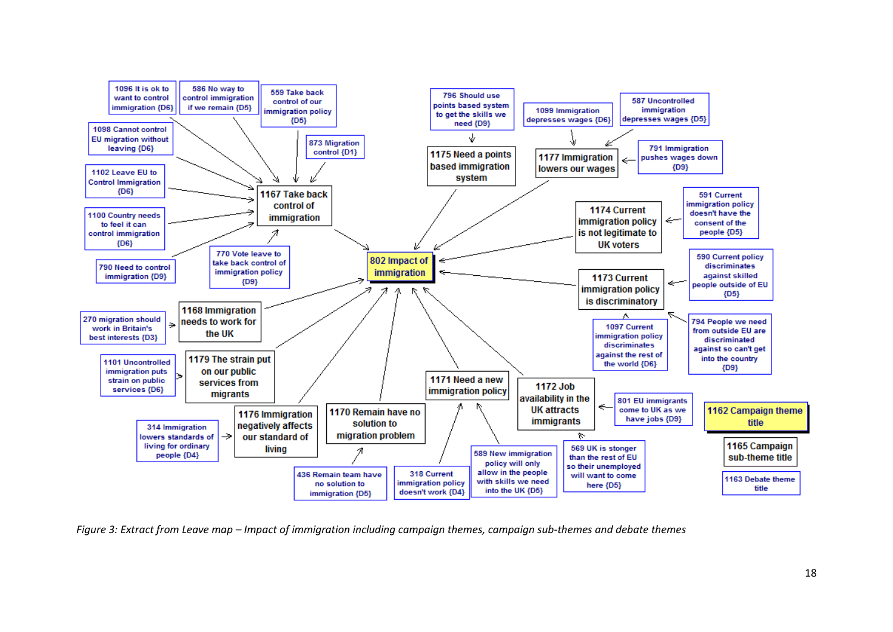

*Figure 3: Extract from Leave map – Impact of immigration including campaign themes, campaign sub-themes and debate themes*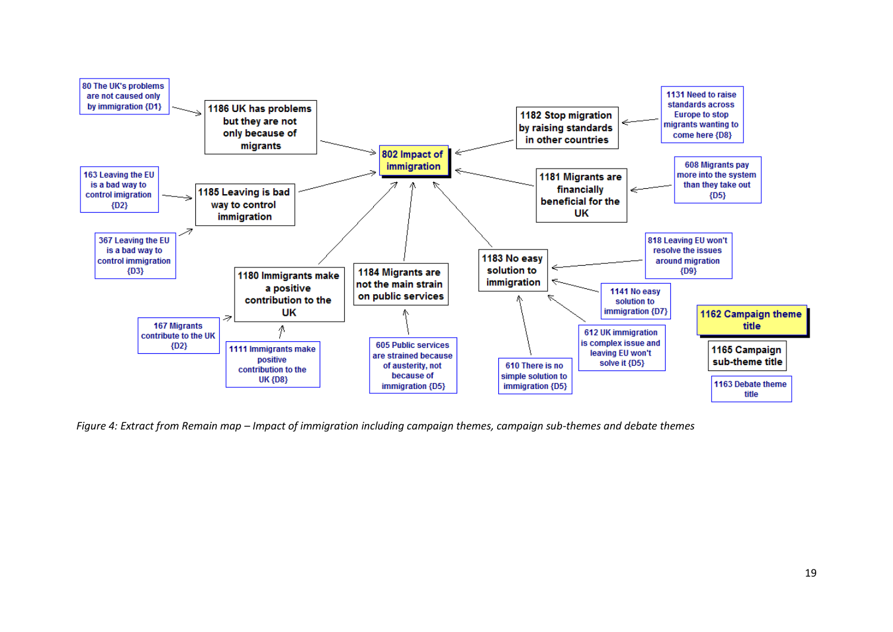

*Figure 4: Extract from Remain map – Impact of immigration including campaign themes, campaign sub-themes and debate themes*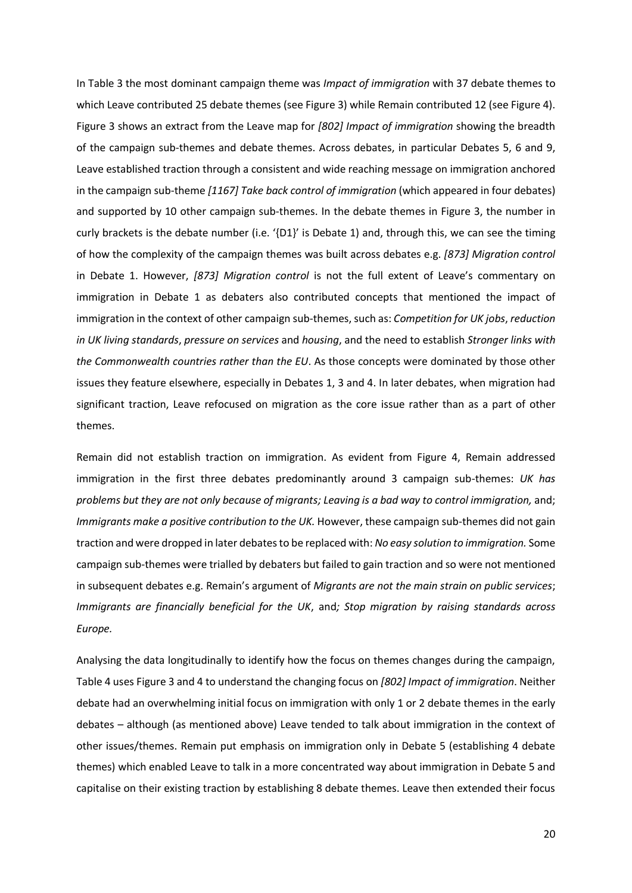In Table 3 the most dominant campaign theme was *Impact of immigration* with 37 debate themes to which Leave contributed 25 debate themes (see Figure 3) while Remain contributed 12 (see Figure 4). Figure 3 shows an extract from the Leave map for *[802] Impact of immigration* showing the breadth of the campaign sub-themes and debate themes. Across debates, in particular Debates 5, 6 and 9, Leave established traction through a consistent and wide reaching message on immigration anchored in the campaign sub-theme *[1167] Take back control of immigration* (which appeared in four debates) and supported by 10 other campaign sub-themes. In the debate themes in Figure 3, the number in curly brackets is the debate number (i.e. '{D1}' is Debate 1) and, through this, we can see the timing of how the complexity of the campaign themes was built across debates e.g. *[873] Migration control*  in Debate 1. However, *[873] Migration control* is not the full extent of Leave's commentary on immigration in Debate 1 as debaters also contributed concepts that mentioned the impact of immigration in the context of other campaign sub-themes, such as: *Competition for UK jobs*, *reduction in UK living standards*, *pressure on services* and *housing*, and the need to establish *Stronger links with the Commonwealth countries rather than the EU*. As those concepts were dominated by those other issues they feature elsewhere, especially in Debates 1, 3 and 4. In later debates, when migration had significant traction, Leave refocused on migration as the core issue rather than as a part of other themes.

Remain did not establish traction on immigration. As evident from Figure 4, Remain addressed immigration in the first three debates predominantly around 3 campaign sub-themes: *UK has problems but they are not only because of migrants; Leaving is a bad way to control immigration,* and; *Immigrants make a positive contribution to the UK.* However, these campaign sub-themes did not gain traction and were dropped in later debatesto be replaced with: *No easy solution to immigration.* Some campaign sub-themes were trialled by debaters but failed to gain traction and so were not mentioned in subsequent debates e.g. Remain's argument of *Migrants are not the main strain on public services*; *Immigrants are financially beneficial for the UK*, and*; Stop migration by raising standards across Europe.* 

Analysing the data longitudinally to identify how the focus on themes changes during the campaign, Table 4 uses Figure 3 and 4 to understand the changing focus on *[802] Impact of immigration*. Neither debate had an overwhelming initial focus on immigration with only 1 or 2 debate themes in the early debates – although (as mentioned above) Leave tended to talk about immigration in the context of other issues/themes. Remain put emphasis on immigration only in Debate 5 (establishing 4 debate themes) which enabled Leave to talk in a more concentrated way about immigration in Debate 5 and capitalise on their existing traction by establishing 8 debate themes. Leave then extended their focus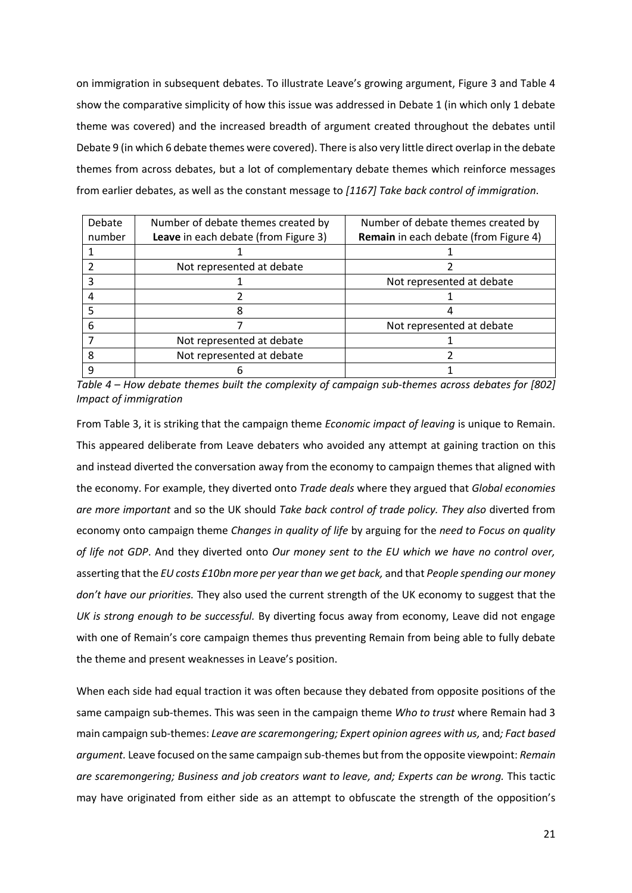on immigration in subsequent debates. To illustrate Leave's growing argument, Figure 3 and Table 4 show the comparative simplicity of how this issue was addressed in Debate 1 (in which only 1 debate theme was covered) and the increased breadth of argument created throughout the debates until Debate 9 (in which 6 debate themes were covered). There is also very little direct overlap in the debate themes from across debates, but a lot of complementary debate themes which reinforce messages from earlier debates, as well as the constant message to *[1167] Take back control of immigration*.

| Debate | Number of debate themes created by   | Number of debate themes created by           |
|--------|--------------------------------------|----------------------------------------------|
| number | Leave in each debate (from Figure 3) | <b>Remain</b> in each debate (from Figure 4) |
|        |                                      |                                              |
|        | Not represented at debate            |                                              |
|        |                                      | Not represented at debate                    |
|        |                                      |                                              |
|        |                                      |                                              |
|        |                                      | Not represented at debate                    |
|        | Not represented at debate            |                                              |
|        | Not represented at debate            |                                              |
|        |                                      |                                              |

*Table 4 – How debate themes built the complexity of campaign sub-themes across debates for [802] Impact of immigration*

From Table 3, it is striking that the campaign theme *Economic impact of leaving* is unique to Remain. This appeared deliberate from Leave debaters who avoided any attempt at gaining traction on this and instead diverted the conversation away from the economy to campaign themes that aligned with the economy. For example, they diverted onto *Trade deals* where they argued that *Global economies are more important* and so the UK should *Take back control of trade policy. They also* diverted from economy onto campaign theme *Changes in quality of life* by arguing for the *need to Focus on quality of life not GDP*. And they diverted onto *Our money sent to the EU which we have no control over,*  asserting that the *EU costs £10bn more per year than we get back,* and that *People spending our money don't have our priorities.* They also used the current strength of the UK economy to suggest that the *UK is strong enough to be successful.* By diverting focus away from economy, Leave did not engage with one of Remain's core campaign themes thus preventing Remain from being able to fully debate the theme and present weaknesses in Leave's position.

When each side had equal traction it was often because they debated from opposite positions of the same campaign sub-themes. This was seen in the campaign theme *Who to trust* where Remain had 3 main campaign sub-themes: *Leave are scaremongering; Expert opinion agrees with us,* and*; Fact based argument.* Leave focused on the same campaign sub-themes but from the opposite viewpoint: *Remain are scaremongering; Business and job creators want to leave, and; Experts can be wrong.* This tactic may have originated from either side as an attempt to obfuscate the strength of the opposition's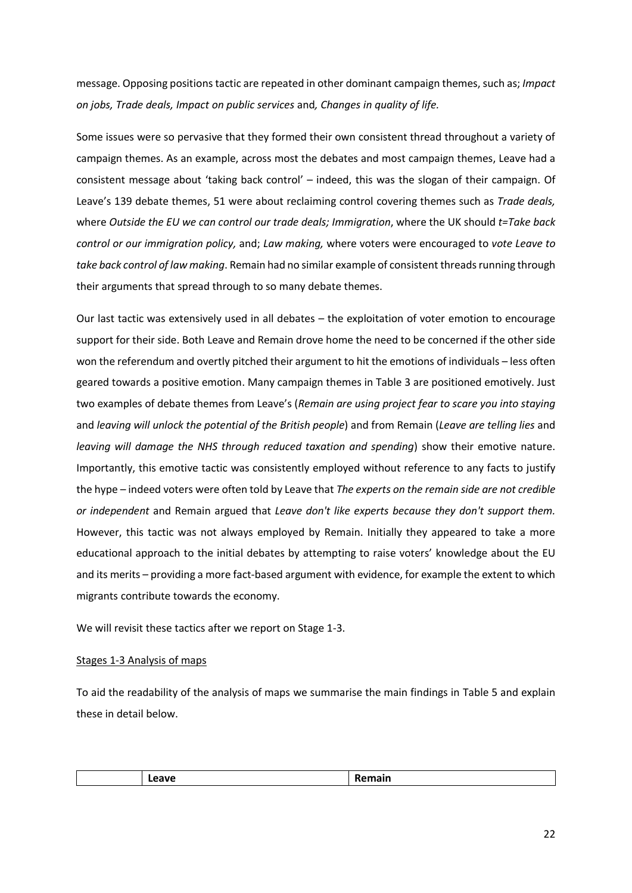message. Opposing positions tactic are repeated in other dominant campaign themes, such as; *Impact on jobs, Trade deals, Impact on public services* and*, Changes in quality of life.*

Some issues were so pervasive that they formed their own consistent thread throughout a variety of campaign themes. As an example, across most the debates and most campaign themes, Leave had a consistent message about 'taking back control' – indeed, this was the slogan of their campaign. Of Leave's 139 debate themes, 51 were about reclaiming control covering themes such as *Trade deals,* where *Outside the EU we can control our trade deals; Immigration*, where the UK should *t=Take back control or our immigration policy,* and; *Law making,* where voters were encouraged to *vote Leave to take back control of law making*. Remain had no similar example of consistent threads running through their arguments that spread through to so many debate themes.

Our last tactic was extensively used in all debates – the exploitation of voter emotion to encourage support for their side. Both Leave and Remain drove home the need to be concerned if the other side won the referendum and overtly pitched their argument to hit the emotions of individuals – less often geared towards a positive emotion. Many campaign themes in Table 3 are positioned emotively. Just two examples of debate themes from Leave's (*Remain are using project fear to scare you into staying* and *leaving will unlock the potential of the British people*) and from Remain (*Leave are telling lies* and *leaving will damage the NHS through reduced taxation and spending*) show their emotive nature. Importantly, this emotive tactic was consistently employed without reference to any facts to justify the hype – indeed voters were often told by Leave that *The experts on the remain side are not credible or independent* and Remain argued that *Leave don't like experts because they don't support them.* However, this tactic was not always employed by Remain. Initially they appeared to take a more educational approach to the initial debates by attempting to raise voters' knowledge about the EU and its merits – providing a more fact-based argument with evidence, for example the extent to which migrants contribute towards the economy.

We will revisit these tactics after we report on Stage 1-3.

## Stages 1-3 Analysis of maps

To aid the readability of the analysis of maps we summarise the main findings in Table 5 and explain these in detail below.

| ייי    | <b>Departs</b> |
|--------|----------------|
| ------ |                |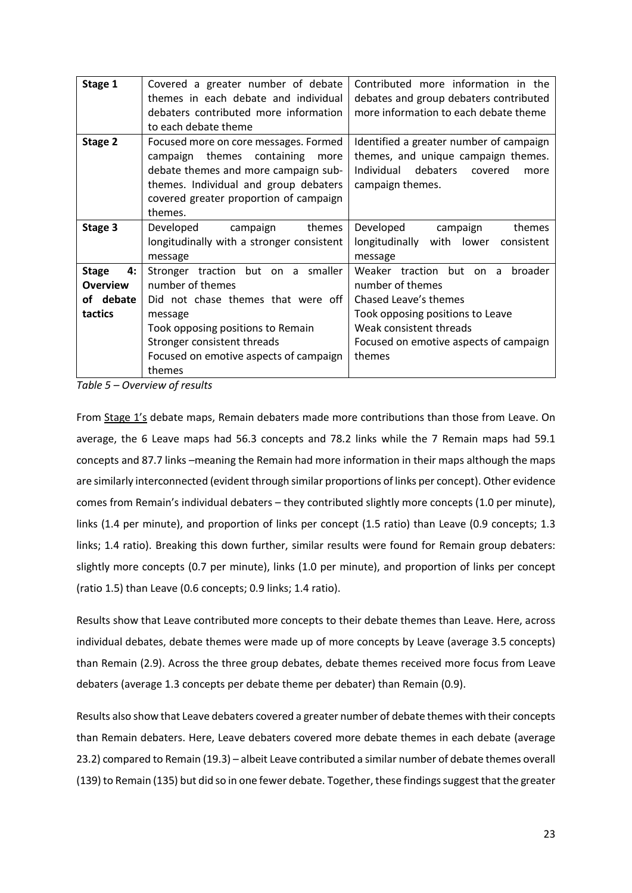| Stage 1                                                       | Covered a greater number of debate<br>themes in each debate and individual<br>debaters contributed more information<br>to each debate theme                                                                                     | Contributed more information in the<br>debates and group debaters contributed<br>more information to each debate theme                                                                              |
|---------------------------------------------------------------|---------------------------------------------------------------------------------------------------------------------------------------------------------------------------------------------------------------------------------|-----------------------------------------------------------------------------------------------------------------------------------------------------------------------------------------------------|
| Stage 2                                                       | Focused more on core messages. Formed<br>themes<br>containing<br>campaign<br>more<br>debate themes and more campaign sub-<br>themes. Individual and group debaters<br>covered greater proportion of campaign<br>themes.         | Identified a greater number of campaign<br>themes, and unique campaign themes.<br>debaters<br>Individual<br>covered<br>more<br>campaign themes.                                                     |
| Stage 3                                                       | Developed<br>themes<br>campaign<br>longitudinally with a stronger consistent<br>message                                                                                                                                         | Developed<br>campaign<br>themes<br>longitudinally<br>with lower<br>consistent<br>message                                                                                                            |
| <b>Stage</b><br>4:<br><b>Overview</b><br>of debate<br>tactics | Stronger traction but on a smaller<br>number of themes<br>Did not chase themes that were off<br>message<br>Took opposing positions to Remain<br>Stronger consistent threads<br>Focused on emotive aspects of campaign<br>themes | Weaker traction but on a<br>broader<br>number of themes<br>Chased Leave's themes<br>Took opposing positions to Leave<br>Weak consistent threads<br>Focused on emotive aspects of campaign<br>themes |

*Table 5 – Overview of results* 

From Stage 1's debate maps, Remain debaters made more contributions than those from Leave. On average, the 6 Leave maps had 56.3 concepts and 78.2 links while the 7 Remain maps had 59.1 concepts and 87.7 links –meaning the Remain had more information in their maps although the maps are similarly interconnected (evident through similar proportions of links per concept). Other evidence comes from Remain's individual debaters – they contributed slightly more concepts (1.0 per minute), links (1.4 per minute), and proportion of links per concept (1.5 ratio) than Leave (0.9 concepts; 1.3 links; 1.4 ratio). Breaking this down further, similar results were found for Remain group debaters: slightly more concepts (0.7 per minute), links (1.0 per minute), and proportion of links per concept (ratio 1.5) than Leave (0.6 concepts; 0.9 links; 1.4 ratio).

Results show that Leave contributed more concepts to their debate themes than Leave. Here, across individual debates, debate themes were made up of more concepts by Leave (average 3.5 concepts) than Remain (2.9). Across the three group debates, debate themes received more focus from Leave debaters (average 1.3 concepts per debate theme per debater) than Remain (0.9).

Results also show that Leave debaters covered a greater number of debate themes with their concepts than Remain debaters. Here, Leave debaters covered more debate themes in each debate (average 23.2) compared to Remain (19.3) – albeit Leave contributed a similar number of debate themes overall (139) to Remain (135) but did so in one fewer debate. Together, these findings suggest that the greater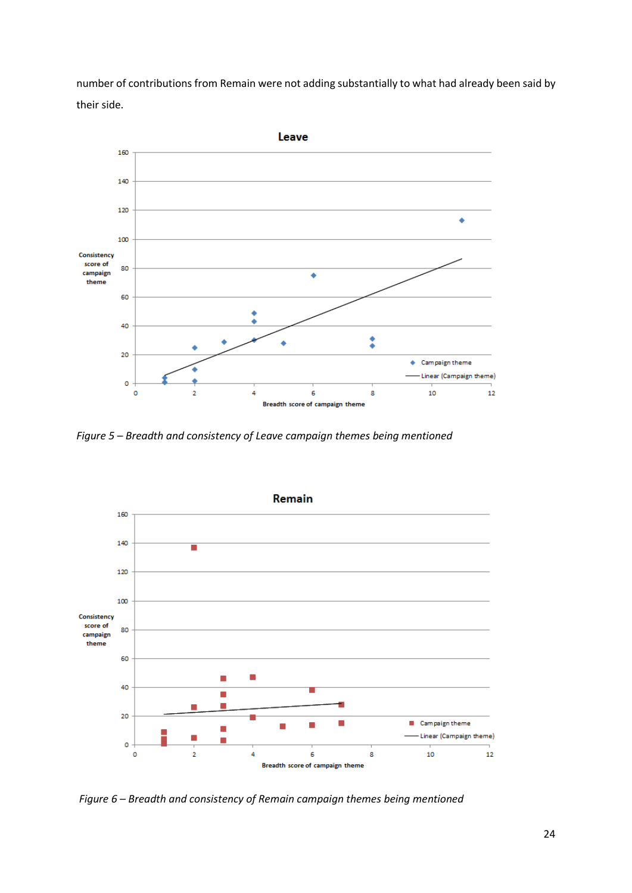number of contributions from Remain were not adding substantially to what had already been said by their side.



*Figure 5 – Breadth and consistency of Leave campaign themes being mentioned*



*Figure 6 – Breadth and consistency of Remain campaign themes being mentioned*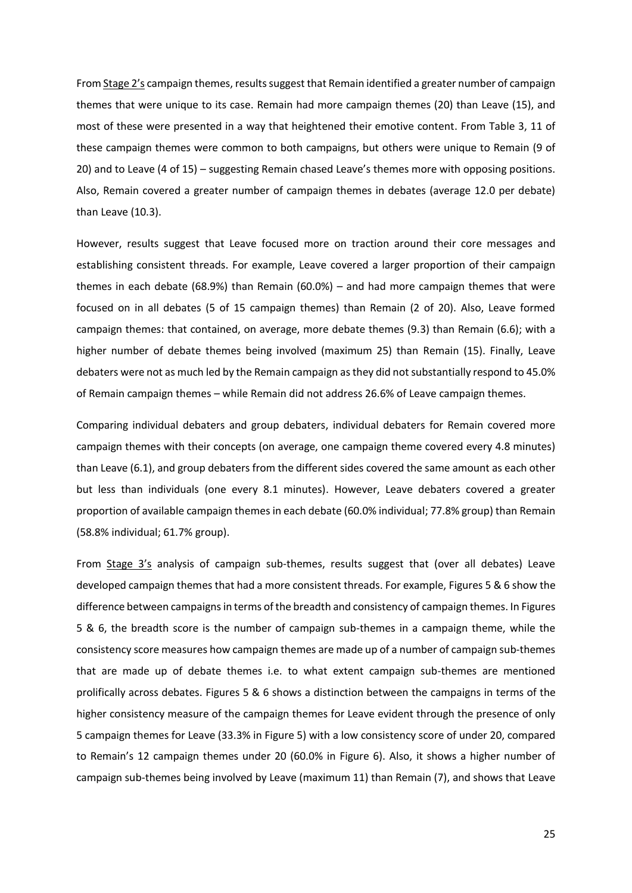From Stage 2's campaign themes, results suggest that Remain identified a greater number of campaign themes that were unique to its case. Remain had more campaign themes (20) than Leave (15), and most of these were presented in a way that heightened their emotive content. From Table 3, 11 of these campaign themes were common to both campaigns, but others were unique to Remain (9 of 20) and to Leave (4 of 15) – suggesting Remain chased Leave's themes more with opposing positions. Also, Remain covered a greater number of campaign themes in debates (average 12.0 per debate) than Leave (10.3).

However, results suggest that Leave focused more on traction around their core messages and establishing consistent threads. For example, Leave covered a larger proportion of their campaign themes in each debate (68.9%) than Remain (60.0%) – and had more campaign themes that were focused on in all debates (5 of 15 campaign themes) than Remain (2 of 20). Also, Leave formed campaign themes: that contained, on average, more debate themes (9.3) than Remain (6.6); with a higher number of debate themes being involved (maximum 25) than Remain (15). Finally, Leave debaters were not as much led by the Remain campaign as they did not substantially respond to 45.0% of Remain campaign themes – while Remain did not address 26.6% of Leave campaign themes.

Comparing individual debaters and group debaters, individual debaters for Remain covered more campaign themes with their concepts (on average, one campaign theme covered every 4.8 minutes) than Leave (6.1), and group debaters from the different sides covered the same amount as each other but less than individuals (one every 8.1 minutes). However, Leave debaters covered a greater proportion of available campaign themes in each debate (60.0% individual; 77.8% group) than Remain (58.8% individual; 61.7% group).

From Stage 3's analysis of campaign sub-themes, results suggest that (over all debates) Leave developed campaign themes that had a more consistent threads. For example, Figures 5 & 6 show the difference between campaigns in terms of the breadth and consistency of campaign themes. In Figures 5 & 6, the breadth score is the number of campaign sub-themes in a campaign theme, while the consistency score measures how campaign themes are made up of a number of campaign sub-themes that are made up of debate themes i.e. to what extent campaign sub-themes are mentioned prolifically across debates. Figures 5 & 6 shows a distinction between the campaigns in terms of the higher consistency measure of the campaign themes for Leave evident through the presence of only 5 campaign themes for Leave (33.3% in Figure 5) with a low consistency score of under 20, compared to Remain's 12 campaign themes under 20 (60.0% in Figure 6). Also, it shows a higher number of campaign sub-themes being involved by Leave (maximum 11) than Remain (7), and shows that Leave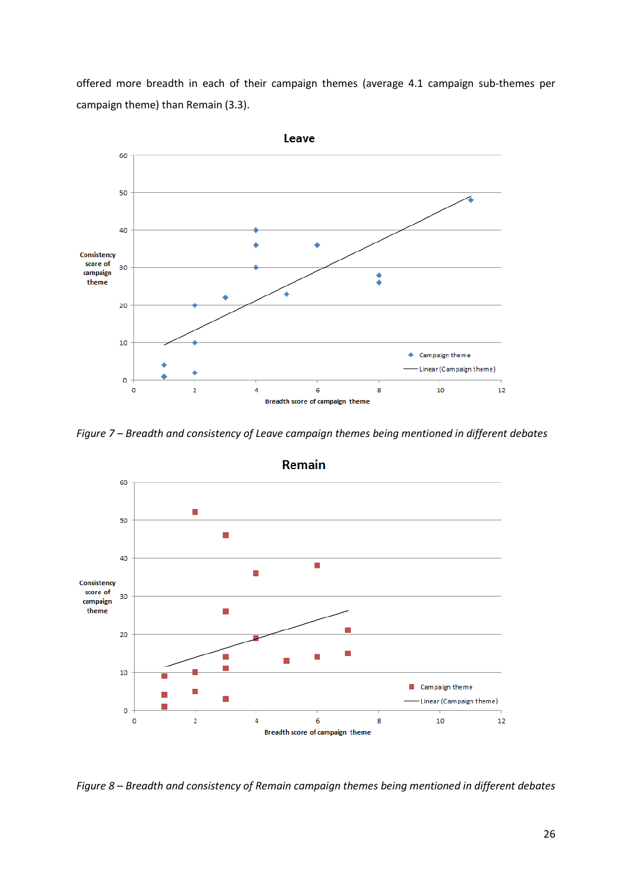offered more breadth in each of their campaign themes (average 4.1 campaign sub-themes per campaign theme) than Remain (3.3).



*Figure 7 – Breadth and consistency of Leave campaign themes being mentioned in different debates*



*Figure 8 – Breadth and consistency of Remain campaign themes being mentioned in different debates*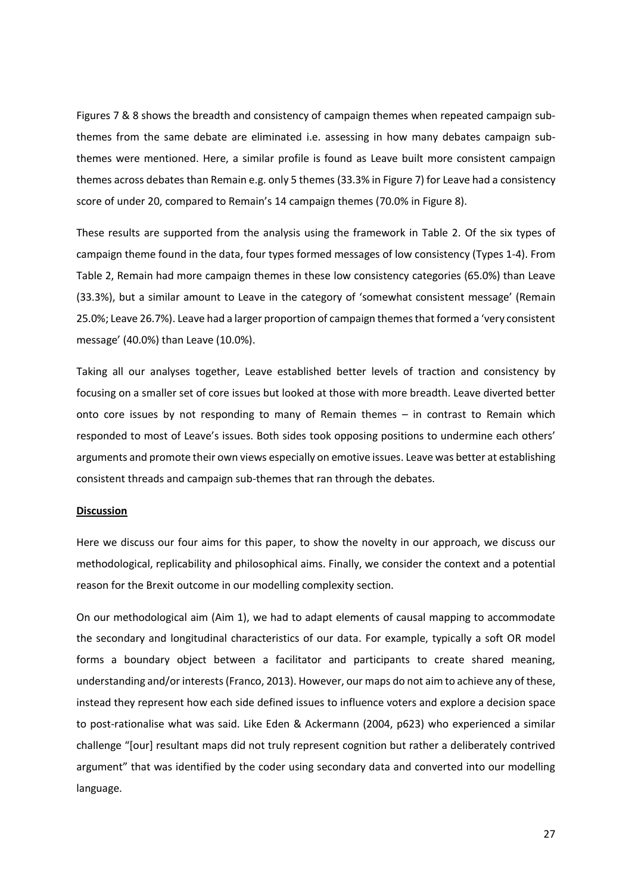Figures 7 & 8 shows the breadth and consistency of campaign themes when repeated campaign subthemes from the same debate are eliminated i.e. assessing in how many debates campaign subthemes were mentioned. Here, a similar profile is found as Leave built more consistent campaign themes across debates than Remain e.g. only 5 themes (33.3% in Figure 7) for Leave had a consistency score of under 20, compared to Remain's 14 campaign themes (70.0% in Figure 8).

These results are supported from the analysis using the framework in Table 2. Of the six types of campaign theme found in the data, four types formed messages of low consistency (Types 1-4). From Table 2, Remain had more campaign themes in these low consistency categories (65.0%) than Leave (33.3%), but a similar amount to Leave in the category of 'somewhat consistent message' (Remain 25.0%; Leave 26.7%). Leave had a larger proportion of campaign themes that formed a 'very consistent message' (40.0%) than Leave (10.0%).

Taking all our analyses together, Leave established better levels of traction and consistency by focusing on a smaller set of core issues but looked at those with more breadth. Leave diverted better onto core issues by not responding to many of Remain themes – in contrast to Remain which responded to most of Leave's issues. Both sides took opposing positions to undermine each others' arguments and promote their own views especially on emotive issues. Leave was better at establishing consistent threads and campaign sub-themes that ran through the debates.

### **Discussion**

Here we discuss our four aims for this paper, to show the novelty in our approach, we discuss our methodological, replicability and philosophical aims. Finally, we consider the context and a potential reason for the Brexit outcome in our modelling complexity section.

On our methodological aim (Aim 1), we had to adapt elements of causal mapping to accommodate the secondary and longitudinal characteristics of our data. For example, typically a soft OR model forms a boundary object between a facilitator and participants to create shared meaning, understanding and/or interests (Franco, 2013). However, our maps do not aim to achieve any of these, instead they represent how each side defined issues to influence voters and explore a decision space to post-rationalise what was said. Like Eden & Ackermann (2004, p623) who experienced a similar challenge "[our] resultant maps did not truly represent cognition but rather a deliberately contrived argument" that was identified by the coder using secondary data and converted into our modelling language.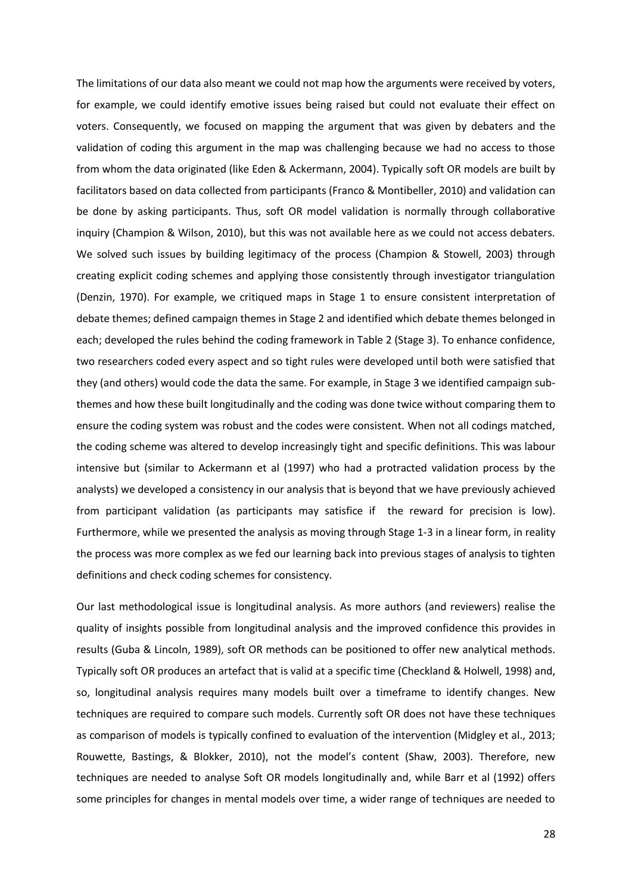The limitations of our data also meant we could not map how the arguments were received by voters, for example, we could identify emotive issues being raised but could not evaluate their effect on voters. Consequently, we focused on mapping the argument that was given by debaters and the validation of coding this argument in the map was challenging because we had no access to those from whom the data originated (like Eden & Ackermann, 2004). Typically soft OR models are built by facilitators based on data collected from participants (Franco & Montibeller, 2010) and validation can be done by asking participants. Thus, soft OR model validation is normally through collaborative inquiry (Champion & Wilson, 2010), but this was not available here as we could not access debaters. We solved such issues by building legitimacy of the process (Champion & Stowell, 2003) through creating explicit coding schemes and applying those consistently through investigator triangulation (Denzin, 1970). For example, we critiqued maps in Stage 1 to ensure consistent interpretation of debate themes; defined campaign themes in Stage 2 and identified which debate themes belonged in each; developed the rules behind the coding framework in Table 2 (Stage 3). To enhance confidence, two researchers coded every aspect and so tight rules were developed until both were satisfied that they (and others) would code the data the same. For example, in Stage 3 we identified campaign subthemes and how these built longitudinally and the coding was done twice without comparing them to ensure the coding system was robust and the codes were consistent. When not all codings matched, the coding scheme was altered to develop increasingly tight and specific definitions. This was labour intensive but (similar to Ackermann et al (1997) who had a protracted validation process by the analysts) we developed a consistency in our analysis that is beyond that we have previously achieved from participant validation (as participants may satisfice if the reward for precision is low). Furthermore, while we presented the analysis as moving through Stage 1-3 in a linear form, in reality the process was more complex as we fed our learning back into previous stages of analysis to tighten definitions and check coding schemes for consistency.

Our last methodological issue is longitudinal analysis. As more authors (and reviewers) realise the quality of insights possible from longitudinal analysis and the improved confidence this provides in results (Guba & Lincoln, 1989), soft OR methods can be positioned to offer new analytical methods. Typically soft OR produces an artefact that is valid at a specific time (Checkland & Holwell, 1998) and, so, longitudinal analysis requires many models built over a timeframe to identify changes. New techniques are required to compare such models. Currently soft OR does not have these techniques as comparison of models is typically confined to evaluation of the intervention (Midgley et al., 2013; Rouwette, Bastings, & Blokker, 2010), not the model's content (Shaw, 2003). Therefore, new techniques are needed to analyse Soft OR models longitudinally and, while Barr et al (1992) offers some principles for changes in mental models over time, a wider range of techniques are needed to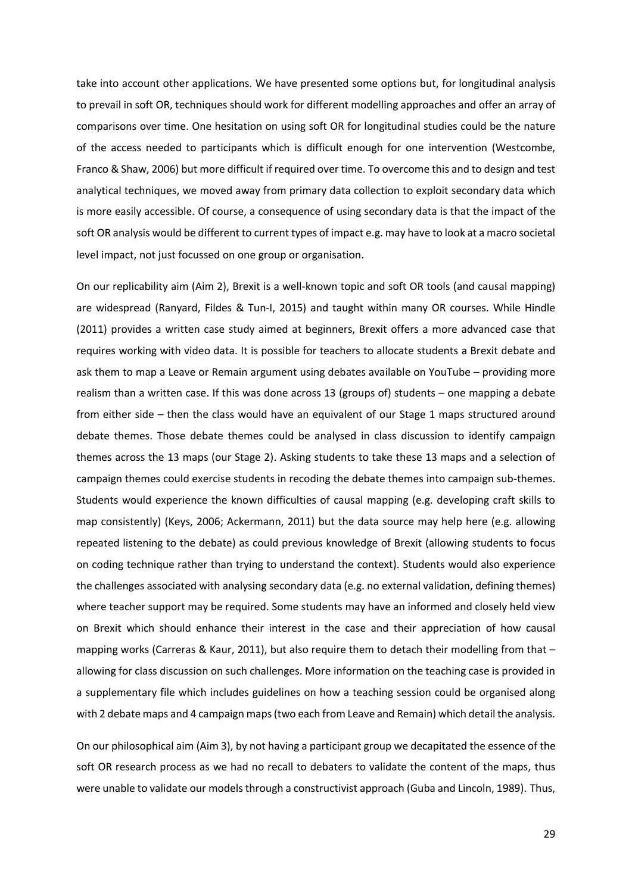take into account other applications. We have presented some options but, for longitudinal analysis to prevail in soft OR, techniques should work for different modelling approaches and offer an array of comparisons over time. One hesitation on using soft OR for longitudinal studies could be the nature of the access needed to participants which is difficult enough for one intervention (Westcombe, Franco & Shaw, 2006) but more difficult if required over time. To overcome this and to design and test analytical techniques, we moved away from primary data collection to exploit secondary data which is more easily accessible. Of course, a consequence of using secondary data is that the impact of the soft OR analysis would be different to current types of impact e.g. may have to look at a macro societal level impact, not just focussed on one group or organisation.

On our replicability aim (Aim 2), Brexit is a well-known topic and soft OR tools (and causal mapping) are widespread (Ranyard, Fildes & Tun-I, 2015) and taught within many OR courses. While Hindle (2011) provides a written case study aimed at beginners, Brexit offers a more advanced case that requires working with video data. It is possible for teachers to allocate students a Brexit debate and ask them to map a Leave or Remain argument using debates available on YouTube – providing more realism than a written case. If this was done across 13 (groups of) students – one mapping a debate from either side – then the class would have an equivalent of our Stage 1 maps structured around debate themes. Those debate themes could be analysed in class discussion to identify campaign themes across the 13 maps (our Stage 2). Asking students to take these 13 maps and a selection of campaign themes could exercise students in recoding the debate themes into campaign sub-themes. Students would experience the known difficulties of causal mapping (e.g. developing craft skills to map consistently) (Keys, 2006; Ackermann, 2011) but the data source may help here (e.g. allowing repeated listening to the debate) as could previous knowledge of Brexit (allowing students to focus on coding technique rather than trying to understand the context). Students would also experience the challenges associated with analysing secondary data (e.g. no external validation, defining themes) where teacher support may be required. Some students may have an informed and closely held view on Brexit which should enhance their interest in the case and their appreciation of how causal mapping works (Carreras & Kaur, 2011), but also require them to detach their modelling from that – allowing for class discussion on such challenges. More information on the teaching case is provided in a supplementary file which includes guidelines on how a teaching session could be organised along with 2 debate maps and 4 campaign maps (two each from Leave and Remain) which detail the analysis.

On our philosophical aim (Aim 3), by not having a participant group we decapitated the essence of the soft OR research process as we had no recall to debaters to validate the content of the maps, thus were unable to validate our models through a constructivist approach (Guba and Lincoln, 1989). Thus,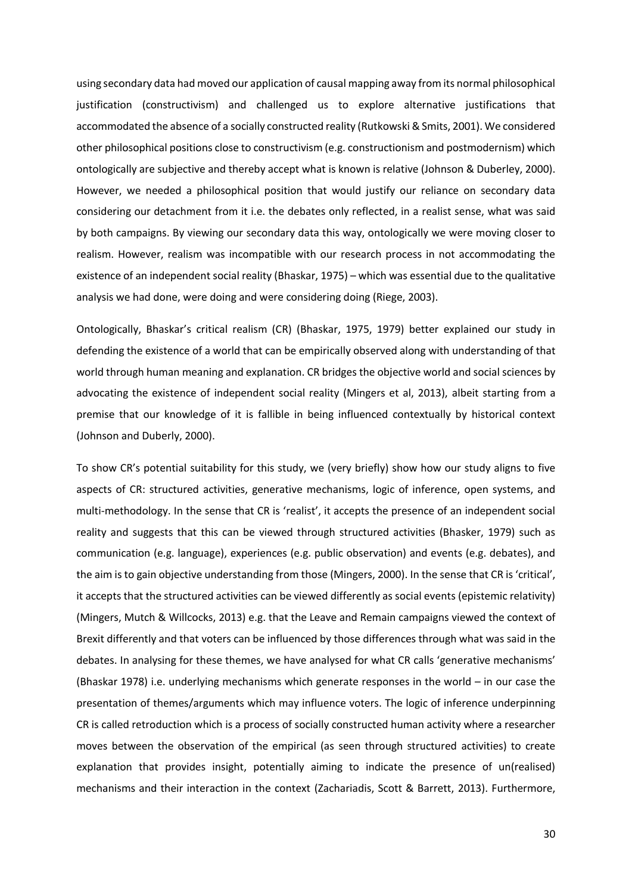using secondary data had moved our application of causal mapping away from its normal philosophical justification (constructivism) and challenged us to explore alternative justifications that accommodated the absence of a socially constructed reality (Rutkowski & Smits, 2001). We considered other philosophical positions close to constructivism (e.g. constructionism and postmodernism) which ontologically are subjective and thereby accept what is known is relative (Johnson & Duberley, 2000). However, we needed a philosophical position that would justify our reliance on secondary data considering our detachment from it i.e. the debates only reflected, in a realist sense, what was said by both campaigns. By viewing our secondary data this way, ontologically we were moving closer to realism. However, realism was incompatible with our research process in not accommodating the existence of an independent social reality (Bhaskar, 1975) – which was essential due to the qualitative analysis we had done, were doing and were considering doing (Riege, 2003).

Ontologically, Bhaskar's critical realism (CR) (Bhaskar, 1975, 1979) better explained our study in defending the existence of a world that can be empirically observed along with understanding of that world through human meaning and explanation. CR bridges the objective world and social sciences by advocating the existence of independent social reality (Mingers et al, 2013), albeit starting from a premise that our knowledge of it is fallible in being influenced contextually by historical context (Johnson and Duberly, 2000).

To show CR's potential suitability for this study, we (very briefly) show how our study aligns to five aspects of CR: structured activities, generative mechanisms, logic of inference, open systems, and multi-methodology. In the sense that CR is 'realist', it accepts the presence of an independent social reality and suggests that this can be viewed through structured activities (Bhasker, 1979) such as communication (e.g. language), experiences (e.g. public observation) and events (e.g. debates), and the aim is to gain objective understanding from those (Mingers, 2000). In the sense that CR is 'critical', it accepts that the structured activities can be viewed differently as social events (epistemic relativity) (Mingers, Mutch & Willcocks, 2013) e.g. that the Leave and Remain campaigns viewed the context of Brexit differently and that voters can be influenced by those differences through what was said in the debates. In analysing for these themes, we have analysed for what CR calls 'generative mechanisms' (Bhaskar 1978) i.e. underlying mechanisms which generate responses in the world – in our case the presentation of themes/arguments which may influence voters. The logic of inference underpinning CR is called retroduction which is a process of socially constructed human activity where a researcher moves between the observation of the empirical (as seen through structured activities) to create explanation that provides insight, potentially aiming to indicate the presence of un(realised) mechanisms and their interaction in the context (Zachariadis, Scott & Barrett, 2013). Furthermore,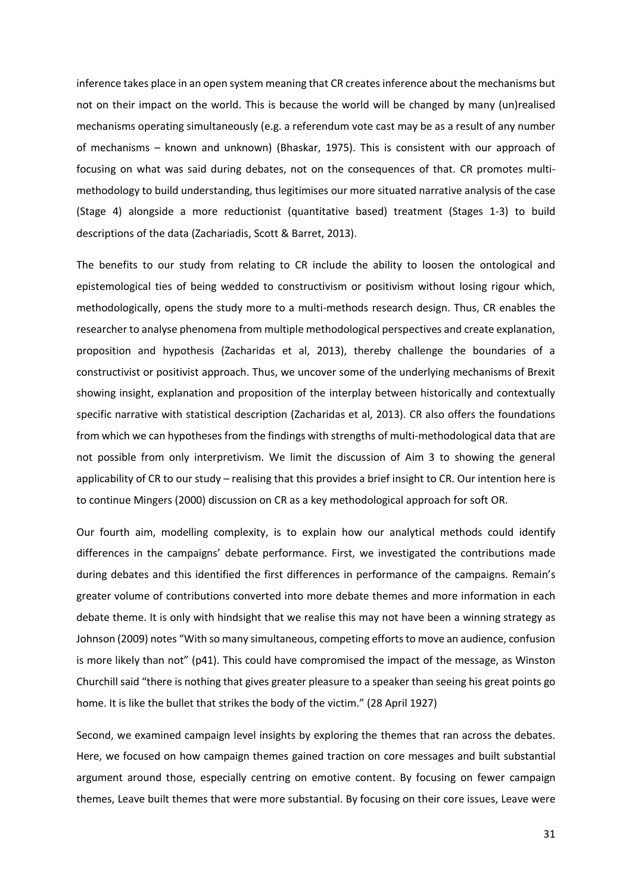inference takes place in an open system meaning that CR creates inference about the mechanisms but not on their impact on the world. This is because the world will be changed by many (un)realised mechanisms operating simultaneously (e.g. a referendum vote cast may be as a result of any number of mechanisms – known and unknown) (Bhaskar, 1975). This is consistent with our approach of focusing on what was said during debates, not on the consequences of that. CR promotes multimethodology to build understanding, thus legitimises our more situated narrative analysis of the case (Stage 4) alongside a more reductionist (quantitative based) treatment (Stages 1-3) to build descriptions of the data (Zachariadis, Scott & Barret, 2013).

The benefits to our study from relating to CR include the ability to loosen the ontological and epistemological ties of being wedded to constructivism or positivism without losing rigour which, methodologically, opens the study more to a multi-methods research design. Thus, CR enables the researcher to analyse phenomena from multiple methodological perspectives and create explanation, proposition and hypothesis (Zacharidas et al, 2013), thereby challenge the boundaries of a constructivist or positivist approach. Thus, we uncover some of the underlying mechanisms of Brexit showing insight, explanation and proposition of the interplay between historically and contextually specific narrative with statistical description (Zacharidas et al, 2013). CR also offers the foundations from which we can hypotheses from the findings with strengths of multi-methodological data that are not possible from only interpretivism. We limit the discussion of Aim 3 to showing the general applicability of CR to our study – realising that this provides a brief insight to CR. Our intention here is to continue Mingers (2000) discussion on CR as a key methodological approach for soft OR.

Our fourth aim, modelling complexity, is to explain how our analytical methods could identify differences in the campaigns' debate performance. First, we investigated the contributions made during debates and this identified the first differences in performance of the campaigns. Remain's greater volume of contributions converted into more debate themes and more information in each debate theme. It is only with hindsight that we realise this may not have been a winning strategy as Johnson (2009) notes "With so many simultaneous, competing efforts to move an audience, confusion is more likely than not" (p41). This could have compromised the impact of the message, as Winston Churchill said "there is nothing that gives greater pleasure to a speaker than seeing his great points go home. It is like the bullet that strikes the body of the victim." (28 April 1927)

Second, we examined campaign level insights by exploring the themes that ran across the debates. Here, we focused on how campaign themes gained traction on core messages and built substantial argument around those, especially centring on emotive content. By focusing on fewer campaign themes, Leave built themes that were more substantial. By focusing on their core issues, Leave were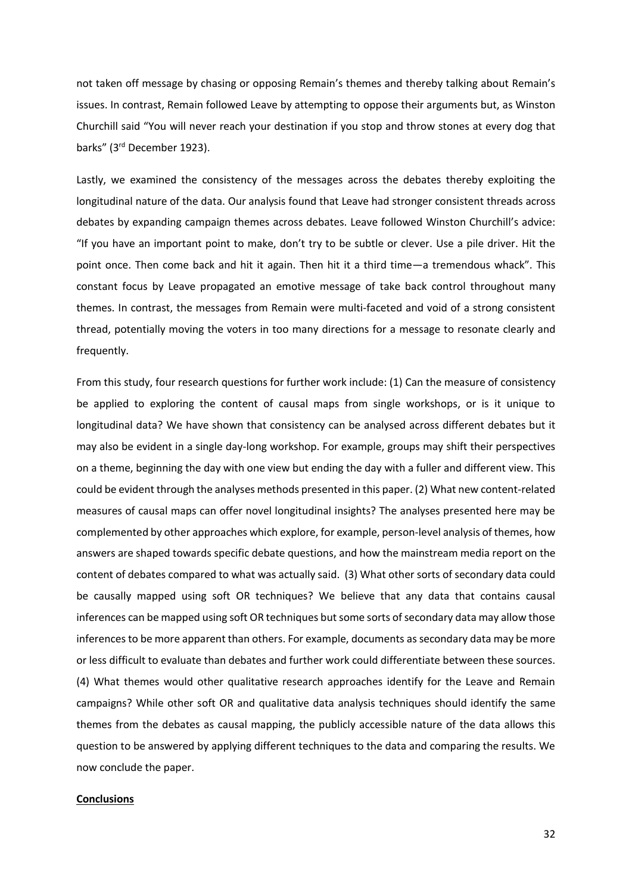not taken off message by chasing or opposing Remain's themes and thereby talking about Remain's issues. In contrast, Remain followed Leave by attempting to oppose their arguments but, as Winston Churchill said "You will never reach your destination if you stop and throw stones at every dog that barks" (3rd December 1923).

Lastly, we examined the consistency of the messages across the debates thereby exploiting the longitudinal nature of the data. Our analysis found that Leave had stronger consistent threads across debates by expanding campaign themes across debates. Leave followed Winston Churchill's advice: "If you have an important point to make, don't try to be subtle or clever. Use a pile driver. Hit the point once. Then come back and hit it again. Then hit it a third time—a tremendous whack". This constant focus by Leave propagated an emotive message of take back control throughout many themes. In contrast, the messages from Remain were multi-faceted and void of a strong consistent thread, potentially moving the voters in too many directions for a message to resonate clearly and frequently.

From this study, four research questions for further work include: (1) Can the measure of consistency be applied to exploring the content of causal maps from single workshops, or is it unique to longitudinal data? We have shown that consistency can be analysed across different debates but it may also be evident in a single day-long workshop. For example, groups may shift their perspectives on a theme, beginning the day with one view but ending the day with a fuller and different view. This could be evident through the analyses methods presented in this paper. (2) What new content-related measures of causal maps can offer novel longitudinal insights? The analyses presented here may be complemented by other approaches which explore, for example, person-level analysis of themes, how answers are shaped towards specific debate questions, and how the mainstream media report on the content of debates compared to what was actually said. (3) What other sorts of secondary data could be causally mapped using soft OR techniques? We believe that any data that contains causal inferences can be mapped using soft OR techniques but some sorts of secondary data may allow those inferences to be more apparent than others. For example, documents as secondary data may be more or less difficult to evaluate than debates and further work could differentiate between these sources. (4) What themes would other qualitative research approaches identify for the Leave and Remain campaigns? While other soft OR and qualitative data analysis techniques should identify the same themes from the debates as causal mapping, the publicly accessible nature of the data allows this question to be answered by applying different techniques to the data and comparing the results. We now conclude the paper.

## **Conclusions**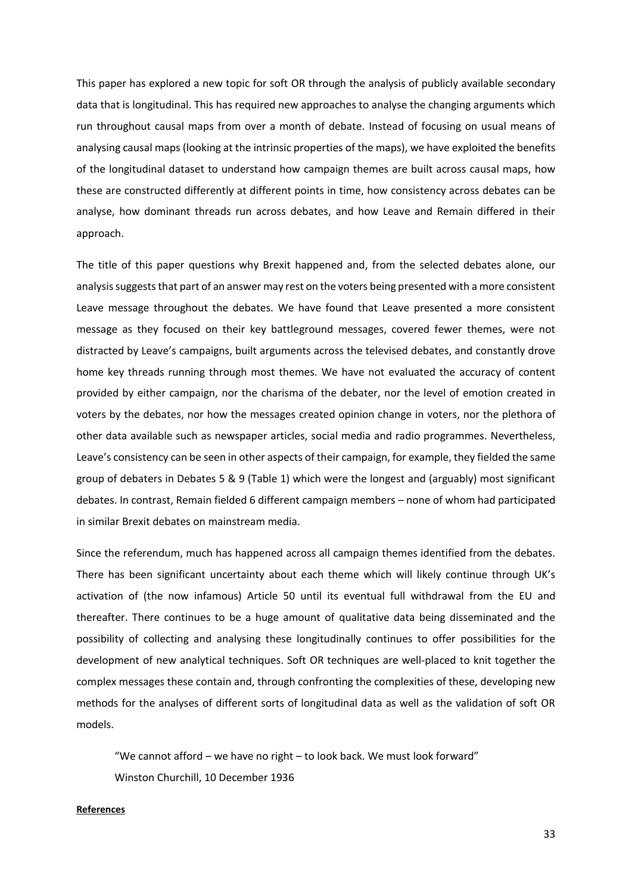This paper has explored a new topic for soft OR through the analysis of publicly available secondary data that is longitudinal. This has required new approaches to analyse the changing arguments which run throughout causal maps from over a month of debate. Instead of focusing on usual means of analysing causal maps (looking at the intrinsic properties of the maps), we have exploited the benefits of the longitudinal dataset to understand how campaign themes are built across causal maps, how these are constructed differently at different points in time, how consistency across debates can be analyse, how dominant threads run across debates, and how Leave and Remain differed in their approach.

The title of this paper questions why Brexit happened and, from the selected debates alone, our analysis suggests that part of an answer may rest on the voters being presented with a more consistent Leave message throughout the debates. We have found that Leave presented a more consistent message as they focused on their key battleground messages, covered fewer themes, were not distracted by Leave's campaigns, built arguments across the televised debates, and constantly drove home key threads running through most themes. We have not evaluated the accuracy of content provided by either campaign, nor the charisma of the debater, nor the level of emotion created in voters by the debates, nor how the messages created opinion change in voters, nor the plethora of other data available such as newspaper articles, social media and radio programmes. Nevertheless, Leave's consistency can be seen in other aspects of their campaign, for example, they fielded the same group of debaters in Debates 5 & 9 (Table 1) which were the longest and (arguably) most significant debates. In contrast, Remain fielded 6 different campaign members – none of whom had participated in similar Brexit debates on mainstream media.

Since the referendum, much has happened across all campaign themes identified from the debates. There has been significant uncertainty about each theme which will likely continue through UK's activation of (the now infamous) Article 50 until its eventual full withdrawal from the EU and thereafter. There continues to be a huge amount of qualitative data being disseminated and the possibility of collecting and analysing these longitudinally continues to offer possibilities for the development of new analytical techniques. Soft OR techniques are well-placed to knit together the complex messages these contain and, through confronting the complexities of these, developing new methods for the analyses of different sorts of longitudinal data as well as the validation of soft OR models.

"We cannot afford – we have no right – to look back. We must look forward" Winston Churchill, 10 December 1936

### **References**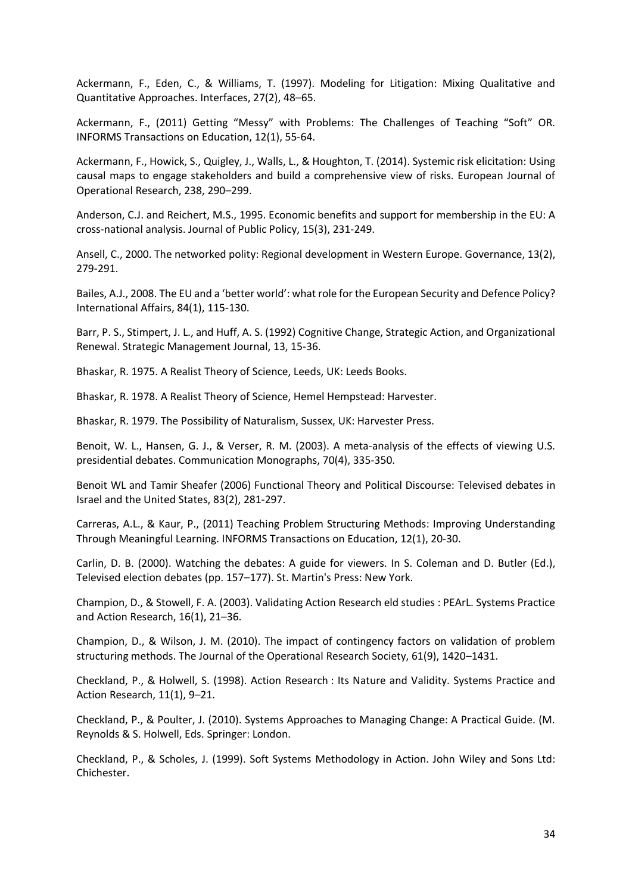Ackermann, F., Eden, C., & Williams, T. (1997). Modeling for Litigation: Mixing Qualitative and Quantitative Approaches. Interfaces, 27(2), 48–65.

Ackermann, F., (2011) Getting "Messy" with Problems: The Challenges of Teaching "Soft" OR. INFORMS Transactions on Education, 12(1), 55-64.

Ackermann, F., Howick, S., Quigley, J., Walls, L., & Houghton, T. (2014). Systemic risk elicitation: Using causal maps to engage stakeholders and build a comprehensive view of risks. European Journal of Operational Research, 238, 290–299.

Anderson, C.J. and Reichert, M.S., 1995. Economic benefits and support for membership in the EU: A cross-national analysis. Journal of Public Policy, 15(3), 231-249.

Ansell, C., 2000. The networked polity: Regional development in Western Europe. Governance, 13(2), 279-291.

Bailes, A.J., 2008. The EU and a 'better world': what role for the European Security and Defence Policy? International Affairs, 84(1), 115-130.

Barr, P. S., Stimpert, J. L., and Huff, A. S. (1992) Cognitive Change, Strategic Action, and Organizational Renewal. Strategic Management Journal, 13, 15-36.

Bhaskar, R. 1975. A Realist Theory of Science, Leeds, UK: Leeds Books.

Bhaskar, R. 1978. A Realist Theory of Science, Hemel Hempstead: Harvester.

Bhaskar, R. 1979. The Possibility of Naturalism, Sussex, UK: Harvester Press.

Benoit, W. L., Hansen, G. J., & Verser, R. M. (2003). A meta-analysis of the effects of viewing U.S. presidential debates. Communication Monographs, 70(4), 335-350.

Benoit WL and Tamir Sheafer (2006) Functional Theory and Political Discourse: Televised debates in Israel and the United States, 83(2), 281-297.

Carreras, A.L., & Kaur, P., (2011) Teaching Problem Structuring Methods: Improving Understanding Through Meaningful Learning. INFORMS Transactions on Education, 12(1), 20-30.

Carlin, D. B. (2000). Watching the debates: A guide for viewers. In S. Coleman and D. Butler (Ed.), Televised election debates (pp. 157–177). St. Martin's Press: New York.

Champion, D., & Stowell, F. A. (2003). Validating Action Research eld studies : PEArL. Systems Practice and Action Research, 16(1), 21–36.

Champion, D., & Wilson, J. M. (2010). The impact of contingency factors on validation of problem structuring methods. The Journal of the Operational Research Society, 61(9), 1420–1431.

Checkland, P., & Holwell, S. (1998). Action Research : Its Nature and Validity. Systems Practice and Action Research, 11(1), 9–21.

Checkland, P., & Poulter, J. (2010). Systems Approaches to Managing Change: A Practical Guide. (M. Reynolds & S. Holwell, Eds. Springer: London.

Checkland, P., & Scholes, J. (1999). Soft Systems Methodology in Action. John Wiley and Sons Ltd: Chichester.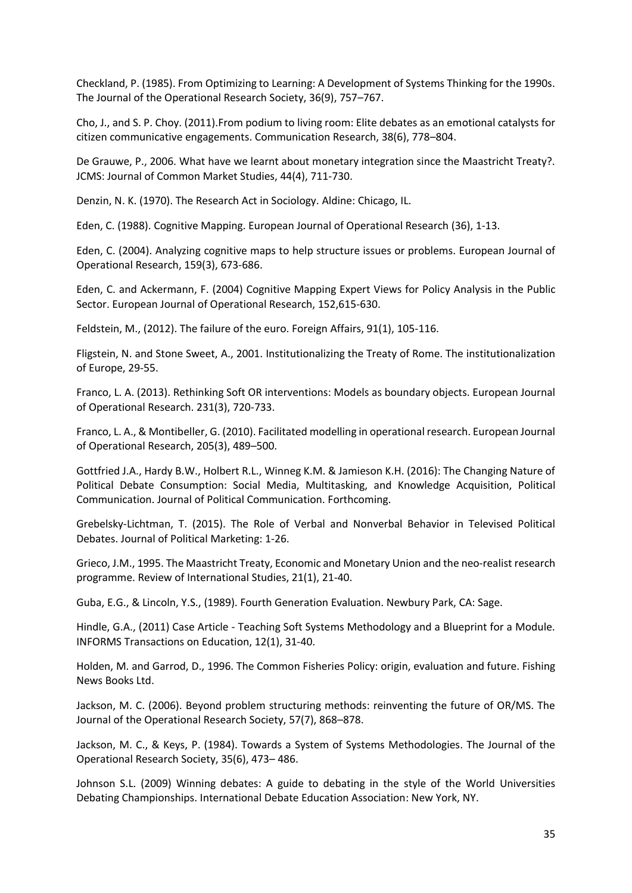Checkland, P. (1985). From Optimizing to Learning: A Development of Systems Thinking for the 1990s. The Journal of the Operational Research Society, 36(9), 757–767.

Cho, J., and S. P. Choy. (2011).From podium to living room: Elite debates as an emotional catalysts for citizen communicative engagements. Communication Research, 38(6), 778–804.

De Grauwe, P., 2006. What have we learnt about monetary integration since the Maastricht Treaty?. JCMS: Journal of Common Market Studies, 44(4), 711-730.

Denzin, N. K. (1970). The Research Act in Sociology. Aldine: Chicago, IL.

Eden, C. (1988). Cognitive Mapping. European Journal of Operational Research (36), 1-13.

Eden, C. (2004). Analyzing cognitive maps to help structure issues or problems. European Journal of Operational Research, 159(3), 673-686.

Eden, C. and Ackermann, F. (2004) Cognitive Mapping Expert Views for Policy Analysis in the Public Sector. European Journal of Operational Research, 152,615-630.

Feldstein, M., (2012). The failure of the euro. Foreign Affairs, 91(1), 105-116.

Fligstein, N. and Stone Sweet, A., 2001. Institutionalizing the Treaty of Rome. The institutionalization of Europe, 29-55.

Franco, L. A. (2013). Rethinking Soft OR interventions: Models as boundary objects. European Journal of Operational Research. 231(3), 720-733.

Franco, L. A., & Montibeller, G. (2010). Facilitated modelling in operational research. European Journal of Operational Research, 205(3), 489–500.

Gottfried J.A., Hardy B.W., Holbert R.L., Winneg K.M. & Jamieson K.H. (2016): The Changing Nature of Political Debate Consumption: Social Media, Multitasking, and Knowledge Acquisition, Political Communication. Journal of Political Communication. Forthcoming.

Grebelsky-Lichtman, T. (2015). The Role of Verbal and Nonverbal Behavior in Televised Political Debates. Journal of Political Marketing: 1-26.

Grieco, J.M., 1995. The Maastricht Treaty, Economic and Monetary Union and the neo-realist research programme. Review of International Studies, 21(1), 21-40.

Guba, E.G., & Lincoln, Y.S., (1989). Fourth Generation Evaluation. Newbury Park, CA: Sage.

Hindle, G.A., (2011) Case Article - Teaching Soft Systems Methodology and a Blueprint for a Module. INFORMS Transactions on Education, 12(1), 31-40.

Holden, M. and Garrod, D., 1996. The Common Fisheries Policy: origin, evaluation and future. Fishing News Books Ltd.

Jackson, M. C. (2006). Beyond problem structuring methods: reinventing the future of OR/MS. The Journal of the Operational Research Society, 57(7), 868–878.

Jackson, M. C., & Keys, P. (1984). Towards a System of Systems Methodologies. The Journal of the Operational Research Society, 35(6), 473– 486.

Johnson S.L. (2009) Winning debates: A guide to debating in the style of the World Universities Debating Championships. International Debate Education Association: New York, NY.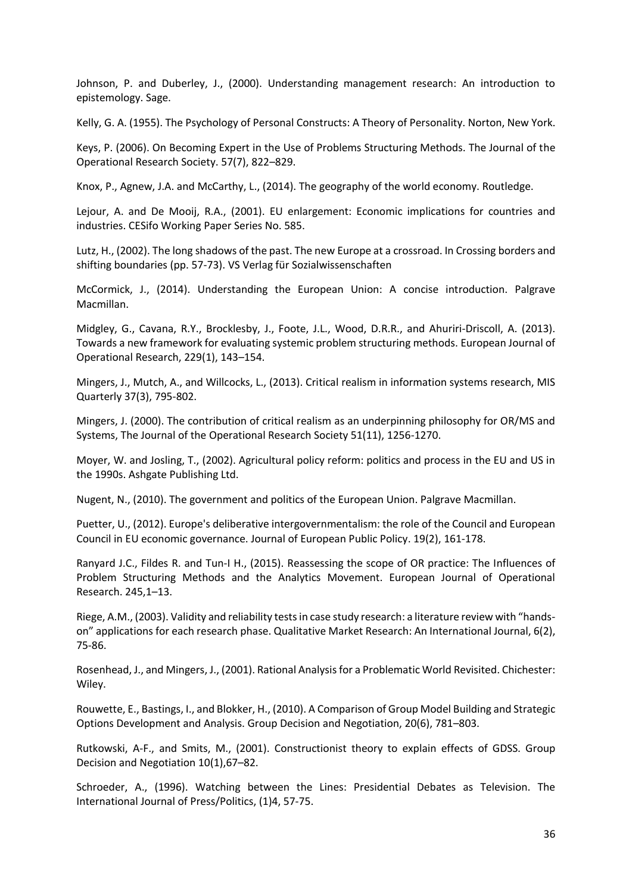Johnson, P. and Duberley, J., (2000). Understanding management research: An introduction to epistemology. Sage.

Kelly, G. A. (1955). The Psychology of Personal Constructs: A Theory of Personality. Norton, New York.

Keys, P. (2006). On Becoming Expert in the Use of Problems Structuring Methods. The Journal of the Operational Research Society. 57(7), 822–829.

Knox, P., Agnew, J.A. and McCarthy, L., (2014). The geography of the world economy. Routledge.

Lejour, A. and De Mooij, R.A., (2001). EU enlargement: Economic implications for countries and industries. CESifo Working Paper Series No. 585.

Lutz, H., (2002). The long shadows of the past. The new Europe at a crossroad. In Crossing borders and shifting boundaries (pp. 57-73). VS Verlag für Sozialwissenschaften

McCormick, J., (2014). Understanding the European Union: A concise introduction. Palgrave Macmillan.

Midgley, G., Cavana, R.Y., Brocklesby, J., Foote, J.L., Wood, D.R.R., and Ahuriri-Driscoll, A. (2013). Towards a new framework for evaluating systemic problem structuring methods. European Journal of Operational Research, 229(1), 143–154.

Mingers, J., Mutch, A., and Willcocks, L., (2013). Critical realism in information systems research, MIS Quarterly 37(3), 795-802.

Mingers, J. (2000). The contribution of critical realism as an underpinning philosophy for OR/MS and Systems, The Journal of the Operational Research Society 51(11), 1256-1270.

Moyer, W. and Josling, T., (2002). Agricultural policy reform: politics and process in the EU and US in the 1990s. Ashgate Publishing Ltd.

Nugent, N., (2010). The government and politics of the European Union. Palgrave Macmillan.

Puetter, U., (2012). Europe's deliberative intergovernmentalism: the role of the Council and European Council in EU economic governance. Journal of European Public Policy. 19(2), 161-178.

Ranyard J.C., Fildes R. and Tun-I H., (2015). Reassessing the scope of OR practice: The Influences of Problem Structuring Methods and the Analytics Movement. European Journal of Operational Research. 245,1–13.

Riege, A.M., (2003). Validity and reliability tests in case study research: a literature review with "handson" applications for each research phase. Qualitative Market Research: An International Journal, 6(2), 75-86.

Rosenhead, J., and Mingers, J., (2001). Rational Analysis for a Problematic World Revisited. Chichester: Wiley.

Rouwette, E., Bastings, I., and Blokker, H., (2010). A Comparison of Group Model Building and Strategic Options Development and Analysis. Group Decision and Negotiation, 20(6), 781–803.

Rutkowski, A-F., and Smits, M., (2001). Constructionist theory to explain effects of GDSS. Group Decision and Negotiation 10(1),67–82.

Schroeder, A., (1996). Watching between the Lines: Presidential Debates as Television. The International Journal of Press/Politics, (1)4, 57-75.